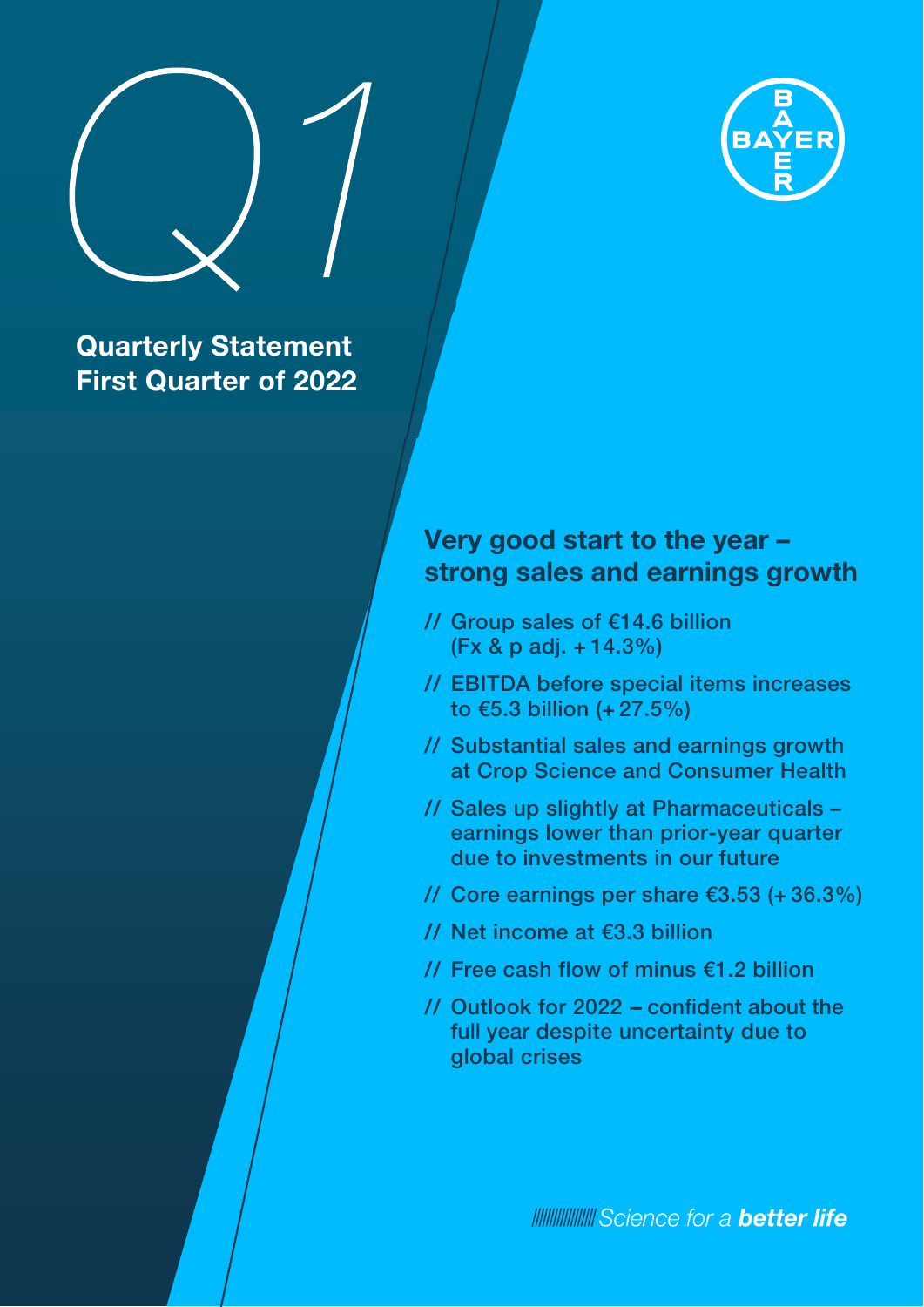

# **Quarterly Statement First Quarter of 2022**

# **Very good start to the year – strong sales and earnings growth**

- **//** Group sales of €14.6 billion (Fx & p adj. + 14.3%)
- **//** EBITDA before special items increases to €5.3 billion (+ 27.5%)
- // Substantial sales and earnings growth at Crop Science and Consumer Health
- **//** Sales up slightly at Pharmaceuticals earnings lower than prior-year quarter due to investments in our future
- // Core earnings per share €3.53 (+ 36.3%)
- **//** Net income at €3.3 billion
- **//** Free cash flow of minus €1.2 billion
- // Outlook for 2022 confident about the full year despite uncertainty due to global crises

**INNING SCIENCE for a better life**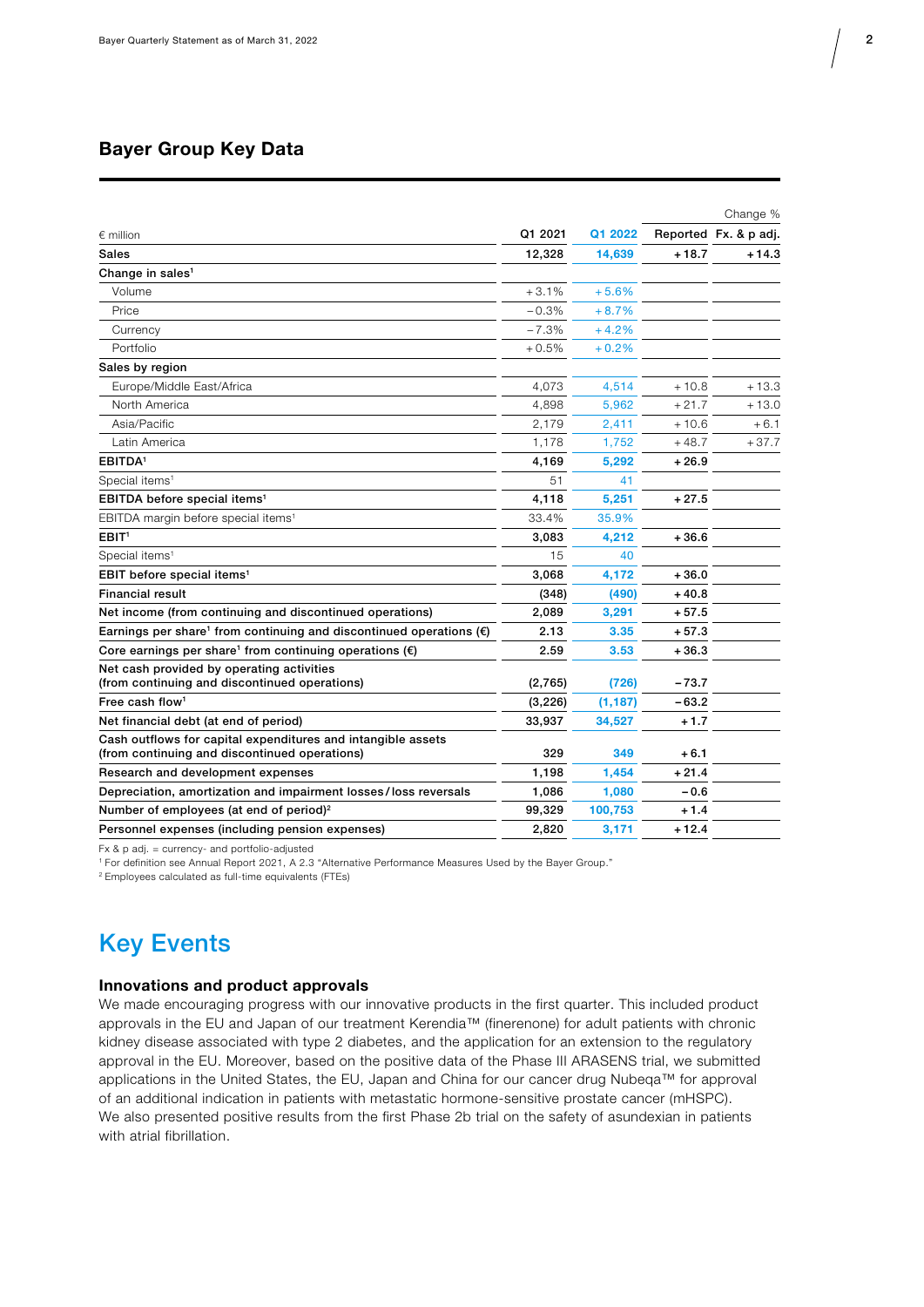### Bayer Group Key Data

|                                                                                                               |          |          |         | Change %              |
|---------------------------------------------------------------------------------------------------------------|----------|----------|---------|-----------------------|
| $\epsilon$ million                                                                                            | Q1 2021  | Q1 2022  |         | Reported Fx. & p adj. |
| Sales                                                                                                         | 12,328   | 14,639   | $+18.7$ | + 14.3                |
| Change in sales <sup>1</sup>                                                                                  |          |          |         |                       |
| Volume                                                                                                        | $+3.1%$  | $+5.6%$  |         |                       |
| Price                                                                                                         | $-0.3%$  | $+8.7%$  |         |                       |
| Currency                                                                                                      | $-7.3%$  | $+4.2%$  |         |                       |
| Portfolio                                                                                                     | $+0.5%$  | $+0.2%$  |         |                       |
| Sales by region                                                                                               |          |          |         |                       |
| Europe/Middle East/Africa                                                                                     | 4,073    | 4,514    | $+10.8$ | $+13.3$               |
| North America                                                                                                 | 4,898    | 5,962    | $+21.7$ | $+13.0$               |
| Asia/Pacific                                                                                                  | 2,179    | 2,411    | $+10.6$ | $+6.1$                |
| Latin America                                                                                                 | 1,178    | 1,752    | $+48.7$ | $+37.7$               |
| EBITDA <sup>1</sup>                                                                                           | 4,169    | 5,292    | + 26.9  |                       |
| Special items <sup>1</sup>                                                                                    | 51       | 41       |         |                       |
| EBITDA before special items <sup>1</sup>                                                                      | 4,118    | 5,251    | $+27.5$ |                       |
| EBITDA margin before special items <sup>1</sup>                                                               | 33.4%    | 35.9%    |         |                       |
| EBIT <sup>1</sup>                                                                                             | 3,083    | 4,212    | $+36.6$ |                       |
| Special items <sup>1</sup>                                                                                    | 15       | 40       |         |                       |
| EBIT before special items <sup>1</sup>                                                                        | 3,068    | 4,172    | $+36.0$ |                       |
| <b>Financial result</b>                                                                                       | (348)    | (490)    | $+40.8$ |                       |
| Net income (from continuing and discontinued operations)                                                      | 2,089    | 3,291    | $+57.5$ |                       |
| Earnings per share <sup>1</sup> from continuing and discontinued operations $(\epsilon)$                      | 2.13     | 3.35     | $+57.3$ |                       |
| Core earnings per share <sup>1</sup> from continuing operations $(\epsilon)$                                  | 2.59     | 3.53     | $+36.3$ |                       |
| Net cash provided by operating activities<br>(from continuing and discontinued operations)                    | (2,765)  | (726)    | $-73.7$ |                       |
| Free cash flow <sup>1</sup>                                                                                   | (3, 226) | (1, 187) | $-63.2$ |                       |
| Net financial debt (at end of period)                                                                         | 33,937   | 34,527   | $+1.7$  |                       |
| Cash outflows for capital expenditures and intangible assets<br>(from continuing and discontinued operations) | 329      | 349      | $+6.1$  |                       |
| Research and development expenses                                                                             | 1,198    | 1,454    | $+21.4$ |                       |
| Depreciation, amortization and impairment losses/loss reversals                                               | 1,086    | 1,080    | $-0.6$  |                       |
| Number of employees (at end of period) <sup>2</sup>                                                           | 99,329   | 100,753  | $+1.4$  |                       |
| Personnel expenses (including pension expenses)                                                               | 2,820    | 3,171    | $+12.4$ |                       |

Fx & p adj. = currency- and portfolio-adjusted

1 For definition see Annual Report 2021, A 2.3 "Alternative Performance Measures Used by the Bayer Group."

2 Employees calculated as full-time equivalents (FTEs)

### Key Events

### Innovations and product approvals

We made encouraging progress with our innovative products in the first quarter. This included product approvals in the EU and Japan of our treatment Kerendia™ (finerenone) for adult patients with chronic kidney disease associated with type 2 diabetes, and the application for an extension to the regulatory approval in the EU. Moreover, based on the positive data of the Phase III ARASENS trial, we submitted applications in the United States, the EU, Japan and China for our cancer drug Nubeqa™ for approval of an additional indication in patients with metastatic hormone-sensitive prostate cancer (mHSPC). We also presented positive results from the first Phase 2b trial on the safety of asundexian in patients with atrial fibrillation.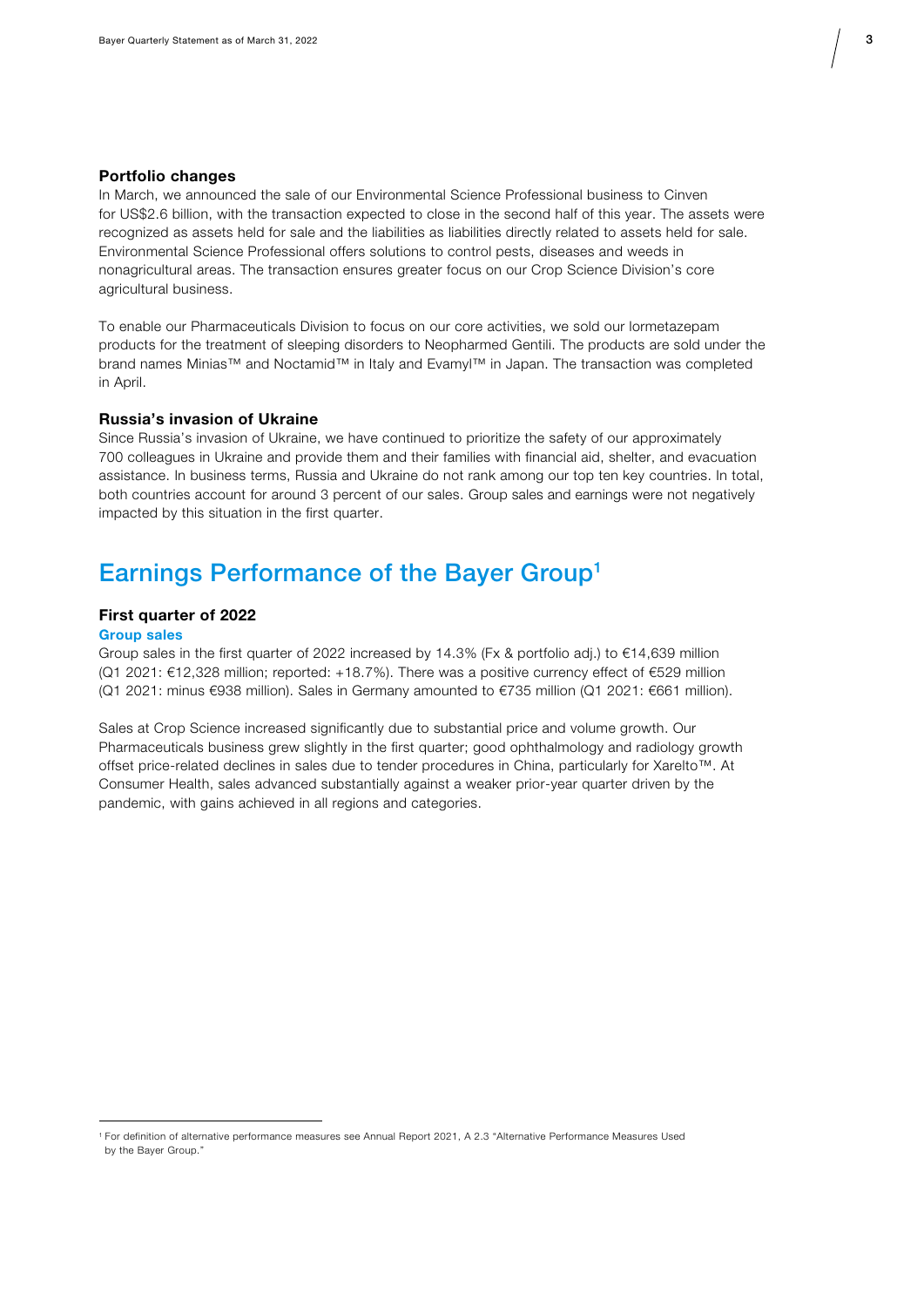

### Portfolio changes

In March, we announced the sale of our Environmental Science Professional business to Cinven for US\$2.6 billion, with the transaction expected to close in the second half of this year. The assets were recognized as assets held for sale and the liabilities as liabilities directly related to assets held for sale. Environmental Science Professional offers solutions to control pests, diseases and weeds in nonagricultural areas. The transaction ensures greater focus on our Crop Science Division's core agricultural business.

To enable our Pharmaceuticals Division to focus on our core activities, we sold our lormetazepam products for the treatment of sleeping disorders to Neopharmed Gentili. The products are sold under the brand names Minias™ and Noctamid™ in Italy and Evamyl™ in Japan. The transaction was completed in April.

#### Russia's invasion of Ukraine

Since Russia's invasion of Ukraine, we have continued to prioritize the safety of our approximately 700 colleagues in Ukraine and provide them and their families with financial aid, shelter, and evacuation assistance. In business terms, Russia and Ukraine do not rank among our top ten key countries. In total, both countries account for around 3 percent of our sales. Group sales and earnings were not negatively impacted by this situation in the first quarter.

### Earnings Performance of the Bayer Group1

#### First quarter of 2022

#### Group sales

Group sales in the first quarter of 2022 increased by 14.3% (Fx & portfolio adj.) to €14,639 million (Q1 2021: €12,328 million; reported: +18.7%). There was a positive currency effect of €529 million (Q1 2021: minus €938 million). Sales in Germany amounted to €735 million (Q1 2021: €661 million).

Sales at Crop Science increased significantly due to substantial price and volume growth. Our Pharmaceuticals business grew slightly in the first quarter; good ophthalmology and radiology growth offset price-related declines in sales due to tender procedures in China, particularly for Xarelto™. At Consumer Health, sales advanced substantially against a weaker prior-year quarter driven by the pandemic, with gains achieved in all regions and categories.

<sup>1</sup> For definition of alternative performance measures see Annual Report 2021, A 2.3 "Alternative Performance Measures Used by the Bayer Group."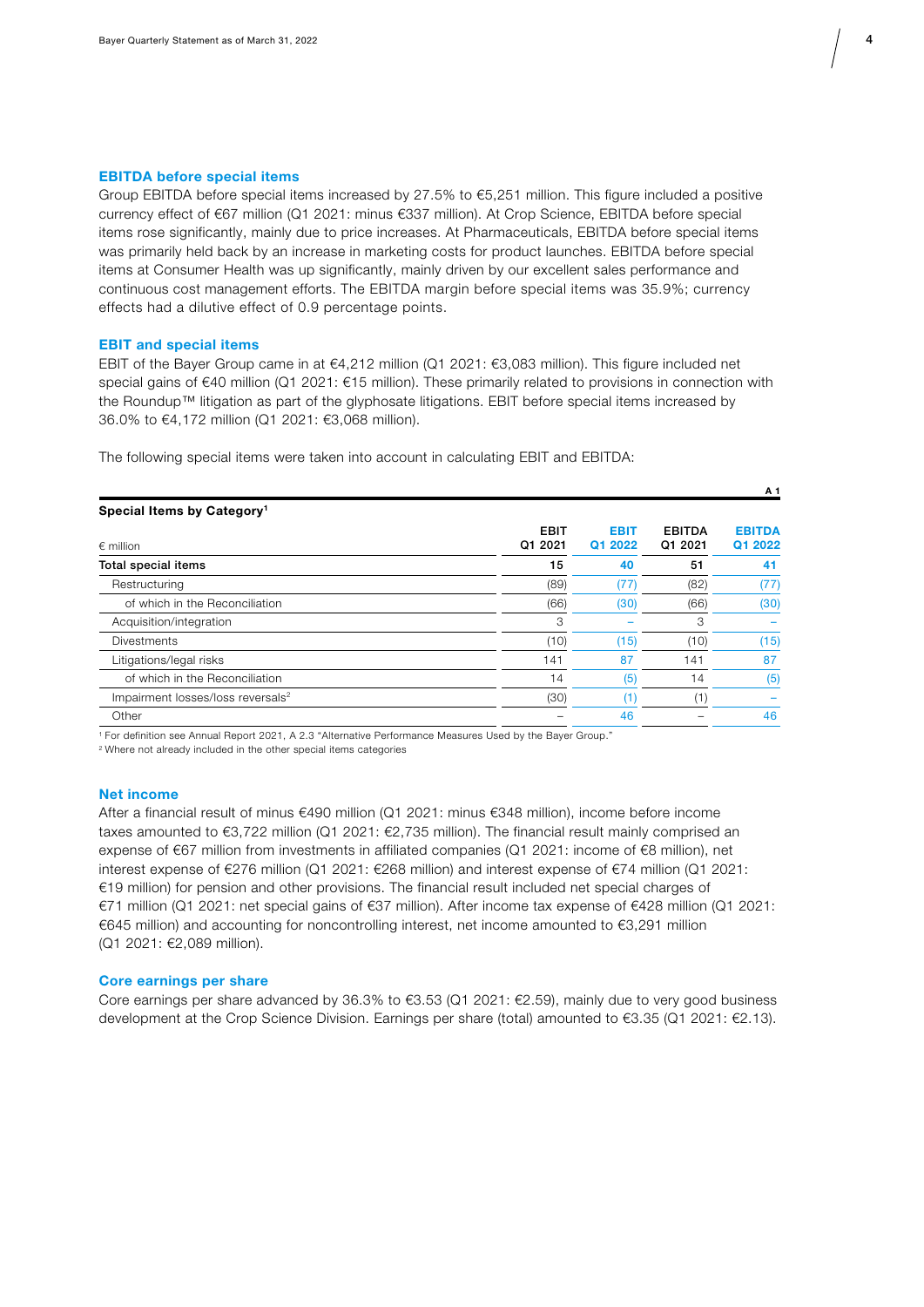

#### EBITDA before special items

Group EBITDA before special items increased by 27.5% to €5,251 million. This figure included a positive currency effect of €67 million (Q1 2021: minus €337 million). At Crop Science, EBITDA before special items rose significantly, mainly due to price increases. At Pharmaceuticals, EBITDA before special items was primarily held back by an increase in marketing costs for product launches. EBITDA before special items at Consumer Health was up significantly, mainly driven by our excellent sales performance and continuous cost management efforts. The EBITDA margin before special items was 35.9%; currency effects had a dilutive effect of 0.9 percentage points.

#### EBIT and special items

EBIT of the Bayer Group came in at €4,212 million (Q1 2021: €3,083 million). This figure included net special gains of €40 million (Q1 2021: €15 million). These primarily related to provisions in connection with the Roundup™ litigation as part of the glyphosate litigations. EBIT before special items increased by 36.0% to €4,172 million (Q1 2021: €3,068 million).

The following special items were taken into account in calculating EBIT and EBITDA:

|                                               |             |             |               | A 1           |
|-----------------------------------------------|-------------|-------------|---------------|---------------|
| Special Items by Category <sup>1</sup>        |             |             |               |               |
|                                               | <b>EBIT</b> | <b>EBIT</b> | <b>EBITDA</b> | <b>EBITDA</b> |
| $\epsilon$ million                            | Q1 2021     | Q1 2022     | Q1 2021       | Q1 2022       |
| Total special items                           | 15          | 40          | 51            | 41            |
| Restructuring                                 | (89)        | (77)        | (82)          | (77)          |
| of which in the Reconciliation                | (66)        | (30)        | (66)          | (30)          |
| Acquisition/integration                       | 3           |             | 3             |               |
| <b>Divestments</b>                            | (10)        | (15)        | (10)          | (15)          |
| Litigations/legal risks                       | 141         | 87          | 141           | 87            |
| of which in the Reconciliation                | 14          | (5)         | 14            | (5)           |
| Impairment losses/loss reversals <sup>2</sup> | (30)        | 1           | (1)           |               |
| Other                                         |             | 46          |               | 46            |
|                                               |             |             |               |               |

1 For definition see Annual Report 2021, A 2.3 "Alternative Performance Measures Used by the Bayer Group."

2 Where not already included in the other special items categories

#### Net income

After a financial result of minus €490 million (Q1 2021: minus €348 million), income before income taxes amounted to €3,722 million (Q1 2021: €2,735 million). The financial result mainly comprised an expense of €67 million from investments in affiliated companies (Q1 2021: income of €8 million), net interest expense of €276 million (Q1 2021: €268 million) and interest expense of €74 million (Q1 2021: €19 million) for pension and other provisions. The financial result included net special charges of €71 million (Q1 2021: net special gains of €37 million). After income tax expense of €428 million (Q1 2021: €645 million) and accounting for noncontrolling interest, net income amounted to €3,291 million (Q1 2021: €2,089 million).

#### Core earnings per share

Core earnings per share advanced by 36.3% to  $63.53$  (Q1 2021:  $62.59$ ), mainly due to very good business development at the Crop Science Division. Earnings per share (total) amounted to €3.35 (Q1 2021: €2.13).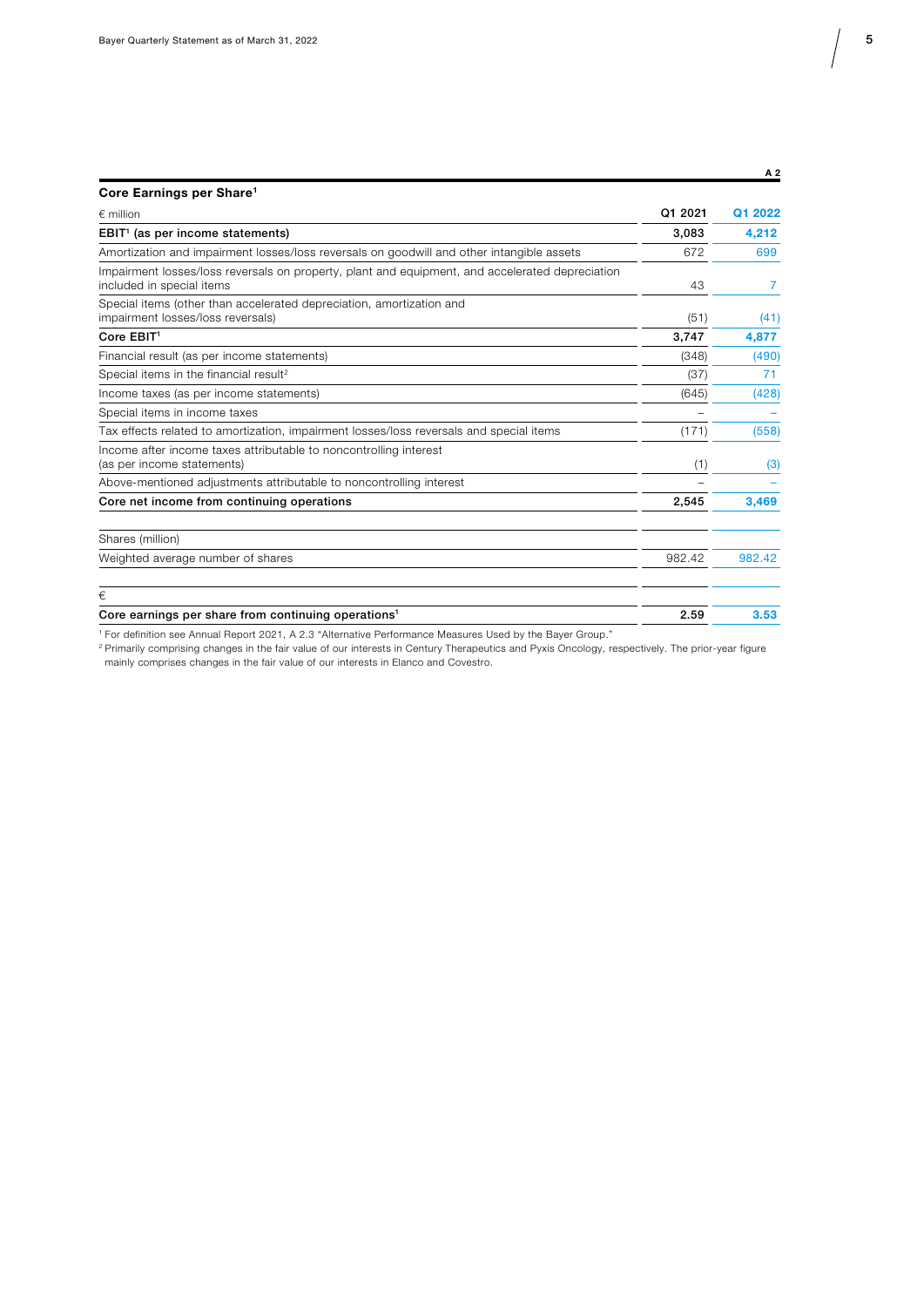A 2

| Core Earnings per Share <sup>1</sup>                                                                                         |         |                |
|------------------------------------------------------------------------------------------------------------------------------|---------|----------------|
| $\epsilon$ million                                                                                                           | Q1 2021 | Q1 2022        |
| EBIT <sup>1</sup> (as per income statements)                                                                                 | 3.083   | 4,212          |
| Amortization and impairment losses/loss reversals on goodwill and other intangible assets                                    | 672     | 699            |
| Impairment losses/loss reversals on property, plant and equipment, and accelerated depreciation<br>included in special items | 43      | $\overline{7}$ |
| Special items (other than accelerated depreciation, amortization and<br>impairment losses/loss reversals)                    | (51)    | (41)           |
| Core EBIT <sup>1</sup>                                                                                                       | 3.747   | 4,877          |
| Financial result (as per income statements)                                                                                  | (348)   | (490)          |
| Special items in the financial result <sup>2</sup>                                                                           | (37)    | 71             |
| Income taxes (as per income statements)                                                                                      | (645)   | (428)          |
| Special items in income taxes                                                                                                |         |                |
| Tax effects related to amortization, impairment losses/loss reversals and special items                                      | (171)   | (558)          |
| Income after income taxes attributable to noncontrolling interest<br>(as per income statements)                              | (1)     | (3)            |
| Above-mentioned adjustments attributable to noncontrolling interest                                                          |         |                |
| Core net income from continuing operations                                                                                   | 2,545   | 3,469          |
| Shares (million)                                                                                                             |         |                |
| Weighted average number of shares                                                                                            | 982.42  | 982.42         |
| €                                                                                                                            |         |                |
| Core earnings per share from continuing operations <sup>1</sup>                                                              | 2.59    | 3.53           |
| 1 Fee definition and Annual Bonart 0001, A.O.O." Alternative Berformance Meagurea Lload by the Boyer Crown "                 |         |                |

1 For definition see Annual Report 2021, A 2.3 "Alternative Performance Measures Used by the Bayer Group."

<sup>2</sup> Primarily comprising changes in the fair value of our interests in Century Therapeutics and Pyxis Oncology, respectively. The prior-year figure mainly comprises changes in the fair value of our interests in Elanco and Covestro.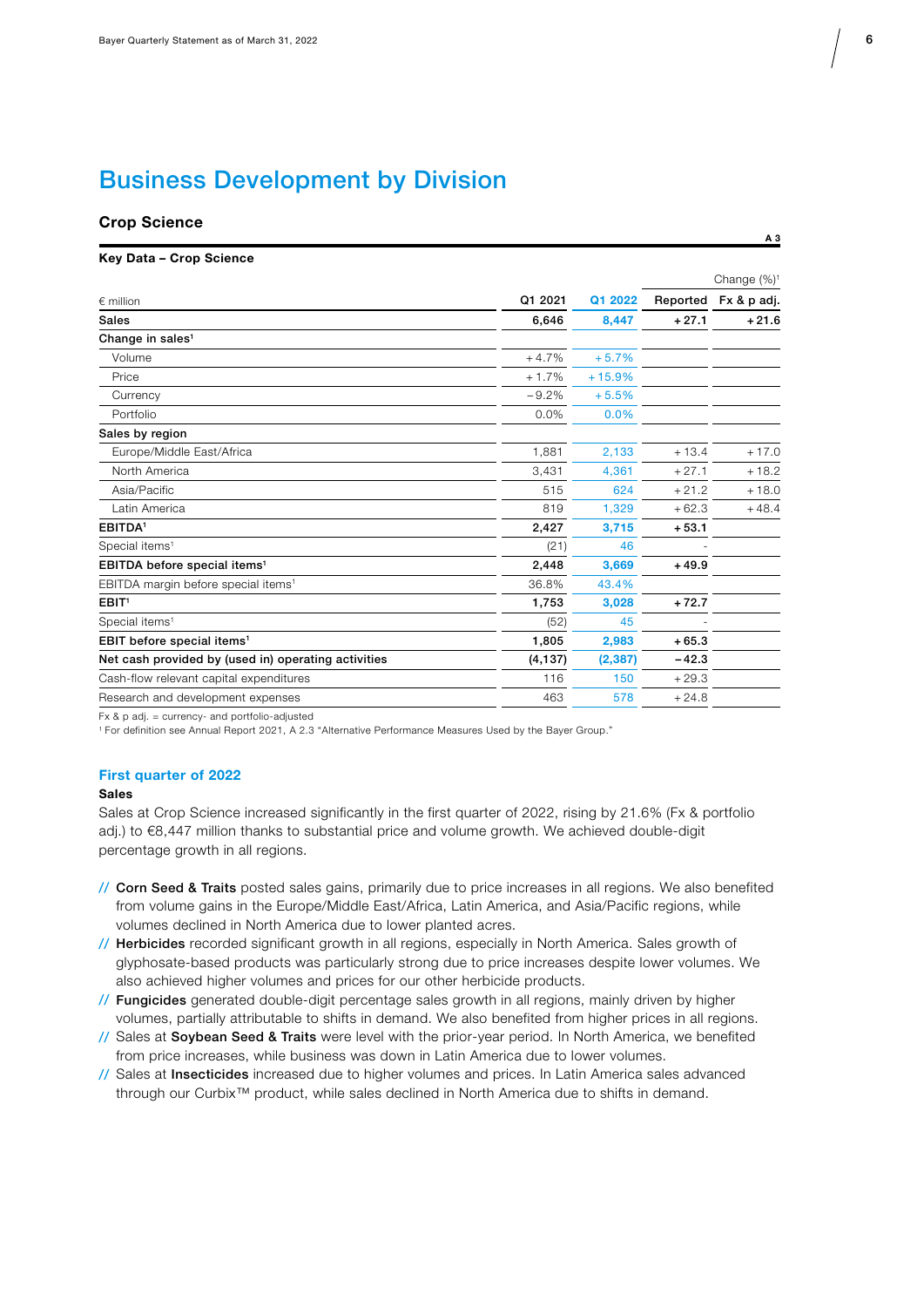### Business Development by Division

## Crop Science A 3

| Key Data - Crop Science |  |  |  |  |
|-------------------------|--|--|--|--|
|-------------------------|--|--|--|--|

|                                                     |          |          | Change (%) <sup>1</sup> |             |
|-----------------------------------------------------|----------|----------|-------------------------|-------------|
| $\epsilon$ million                                  | Q1 2021  | Q1 2022  | Reported                | Fx & p adj. |
| <b>Sales</b>                                        | 6,646    | 8,447    | $+27.1$                 | $+21.6$     |
| Change in sales <sup>1</sup>                        |          |          |                         |             |
| Volume                                              | $+4.7%$  | $+5.7%$  |                         |             |
| Price                                               | $+1.7%$  | $+15.9%$ |                         |             |
| Currency                                            | $-9.2%$  | $+5.5%$  |                         |             |
| Portfolio                                           | 0.0%     | 0.0%     |                         |             |
| Sales by region                                     |          |          |                         |             |
| Europe/Middle East/Africa                           | 1,881    | 2,133    | $+13.4$                 | $+17.0$     |
| North America                                       | 3,431    | 4,361    | $+27.1$                 | $+18.2$     |
| Asia/Pacific                                        | 515      | 624      | $+21.2$                 | $+18.0$     |
| Latin America                                       | 819      | 1,329    | $+62.3$                 | $+48.4$     |
| EBITDA <sup>1</sup>                                 | 2,427    | 3,715    | $+53.1$                 |             |
| Special items <sup>1</sup>                          | (21)     | 46       |                         |             |
| EBITDA before special items <sup>1</sup>            | 2,448    | 3,669    | $+49.9$                 |             |
| EBITDA margin before special items <sup>1</sup>     | 36.8%    | 43.4%    |                         |             |
| EBIT <sup>1</sup>                                   | 1,753    | 3,028    | $+72.7$                 |             |
| Special items <sup>1</sup>                          | (52)     | 45       |                         |             |
| EBIT before special items <sup>1</sup>              | 1,805    | 2,983    | $+65.3$                 |             |
| Net cash provided by (used in) operating activities | (4, 137) | (2, 387) | $-42.3$                 |             |
| Cash-flow relevant capital expenditures             | 116      | 150      | $+29.3$                 |             |
| Research and development expenses                   | 463      | 578      | $+24.8$                 |             |
|                                                     |          |          |                         |             |

Fx & p adj. = currency- and portfolio-adjusted

1 For definition see Annual Report 2021, A 2.3 "Alternative Performance Measures Used by the Bayer Group."

#### First quarter of 2022

#### Sales

Sales at Crop Science increased significantly in the first quarter of 2022, rising by 21.6% (Fx & portfolio adj.) to €8,447 million thanks to substantial price and volume growth. We achieved double-digit percentage growth in all regions.

- // Corn Seed & Traits posted sales gains, primarily due to price increases in all regions. We also benefited from volume gains in the Europe/Middle East/Africa, Latin America, and Asia/Pacific regions, while volumes declined in North America due to lower planted acres.
- // Herbicides recorded significant growth in all regions, especially in North America. Sales growth of glyphosate-based products was particularly strong due to price increases despite lower volumes. We also achieved higher volumes and prices for our other herbicide products.
- // Fungicides generated double-digit percentage sales growth in all regions, mainly driven by higher volumes, partially attributable to shifts in demand. We also benefited from higher prices in all regions.
- // Sales at Soybean Seed & Traits were level with the prior-year period. In North America, we benefited from price increases, while business was down in Latin America due to lower volumes.
- // Sales at Insecticides increased due to higher volumes and prices. In Latin America sales advanced through our Curbix™ product, while sales declined in North America due to shifts in demand.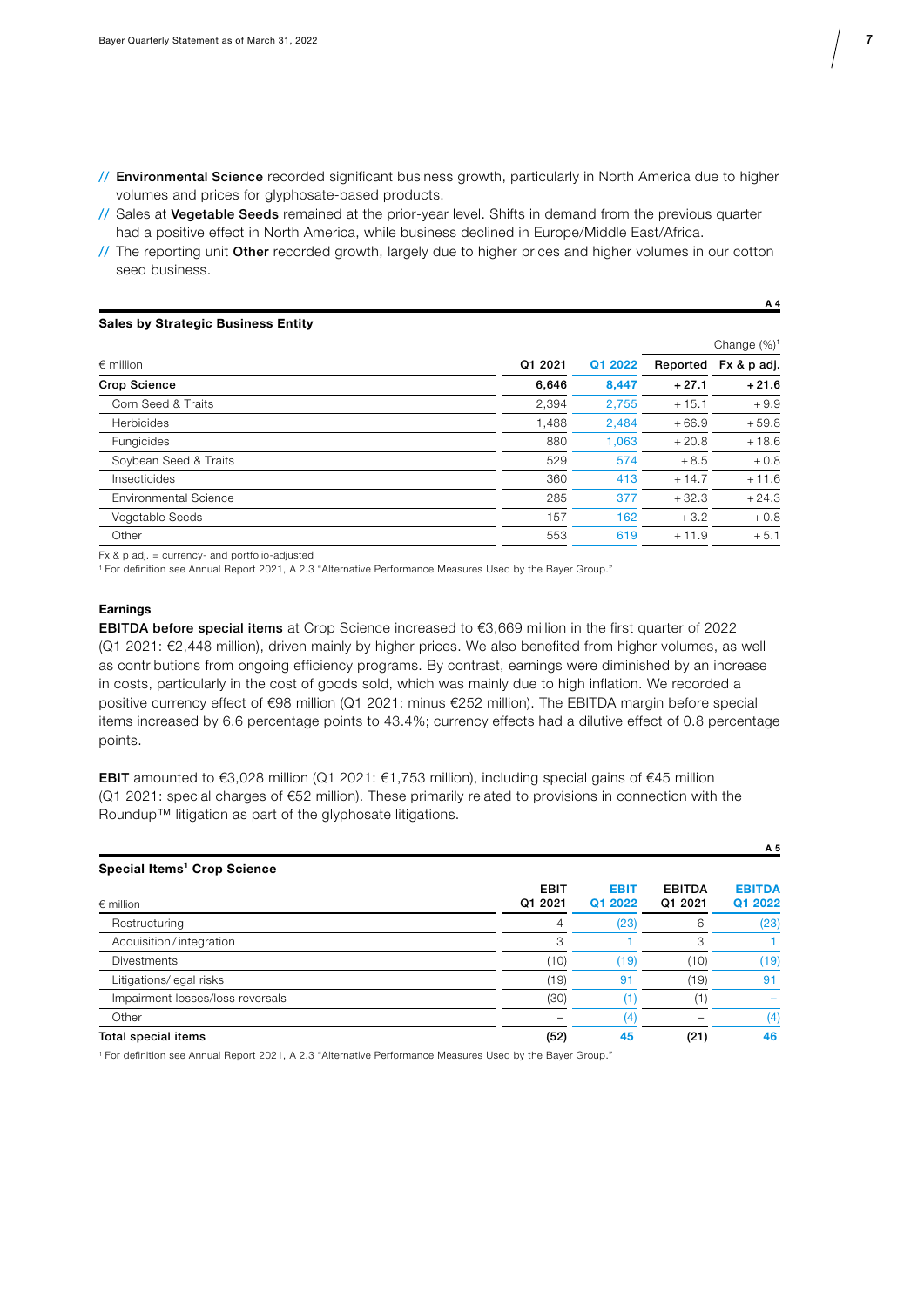- // Environmental Science recorded significant business growth, particularly in North America due to higher volumes and prices for glyphosate-based products.
- // Sales at Vegetable Seeds remained at the prior-year level. Shifts in demand from the previous quarter had a positive effect in North America, while business declined in Europe/Middle East/Africa.
- // The reporting unit Other recorded growth, largely due to higher prices and higher volumes in our cotton seed business.

#### Sales by Strategic Business Entity

|                              |         |         | Change $(\%)^1$ |             |
|------------------------------|---------|---------|-----------------|-------------|
| $\epsilon$ million           | Q1 2021 | Q1 2022 | Reported        | Fx & p adj. |
| <b>Crop Science</b>          | 6,646   | 8,447   | $+27.1$         | $+21.6$     |
| Corn Seed & Traits           | 2,394   | 2,755   | $+15.1$         | $+9.9$      |
| Herbicides                   | 1,488   | 2,484   | $+66.9$         | $+59.8$     |
| Fungicides                   | 880     | 1.063   | $+20.8$         | $+18.6$     |
| Soybean Seed & Traits        | 529     | 574     | $+8.5$          | $+0.8$      |
| Insecticides                 | 360     | 413     | $+14.7$         | $+11.6$     |
| <b>Environmental Science</b> | 285     | 377     | $+32.3$         | $+24.3$     |
| Vegetable Seeds              | 157     | 162     | $+3.2$          | $+0.8$      |
| Other                        | 553     | 619     | $+11.9$         | $+5.1$      |

Fx & p adj. = currency- and portfolio-adjusted

1 For definition see Annual Report 2021, A 2.3 "Alternative Performance Measures Used by the Bayer Group."

#### **Earnings**

EBITDA before special items at Crop Science increased to €3,669 million in the first quarter of 2022 (Q1 2021: €2,448 million), driven mainly by higher prices. We also benefited from higher volumes, as well as contributions from ongoing efficiency programs. By contrast, earnings were diminished by an increase in costs, particularly in the cost of goods sold, which was mainly due to high inflation. We recorded a positive currency effect of €98 million (Q1 2021: minus €252 million). The EBITDA margin before special items increased by 6.6 percentage points to 43.4%; currency effects had a dilutive effect of 0.8 percentage points.

EBIT amounted to €3,028 million (Q1 2021: €1,753 million), including special gains of €45 million (Q1 2021: special charges of €52 million). These primarily related to provisions in connection with the Roundup™ litigation as part of the glyphosate litigations.

|                                         |                        |                        |                          | A 5                      |
|-----------------------------------------|------------------------|------------------------|--------------------------|--------------------------|
| Special Items <sup>1</sup> Crop Science |                        |                        |                          |                          |
| $\epsilon$ million                      | <b>EBIT</b><br>Q1 2021 | <b>EBIT</b><br>Q1 2022 | <b>EBITDA</b><br>Q1 2021 | <b>EBITDA</b><br>Q1 2022 |
| Restructuring                           | 4                      | (23)                   | 6                        | (23)                     |
| Acquisition/integration                 | 3                      |                        | 3                        |                          |
| <b>Divestments</b>                      | (10)                   | (19)                   | (10)                     | (19)                     |
| Litigations/legal risks                 | (19)                   | 91                     | (19)                     | 91                       |
| Impairment losses/loss reversals        | (30)                   | (1)                    | $\left( 1\right)$        |                          |
| Other                                   |                        | (4)                    |                          | (4)                      |
| Total special items                     | (52)                   | 45                     | (21)                     | 46                       |

1 For definition see Annual Report 2021, A 2.3 "Alternative Performance Measures Used by the Bayer Group."

A 4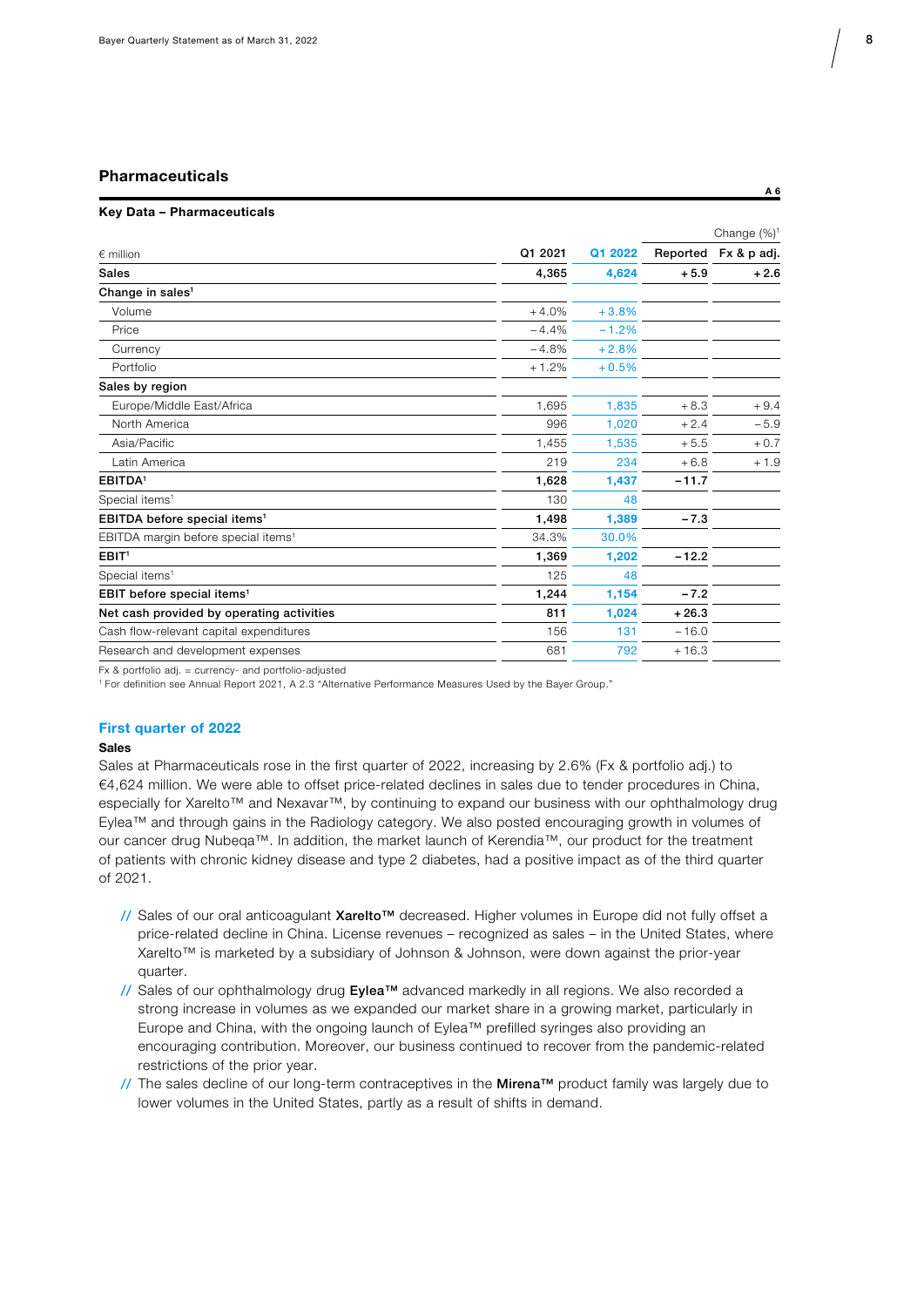### Pharmaceuticals and the control of the control of the control of the control of the control of the control of the control of the control of the control of the control of the control of the control of the control of the con

#### Key Data – Pharmaceuticals

|                                                 |         |         | Change $(\%)^1$ |                      |
|-------------------------------------------------|---------|---------|-----------------|----------------------|
| $\epsilon$ million                              | Q1 2021 | Q1 2022 |                 | Reported Fx & p adj. |
| <b>Sales</b>                                    | 4,365   | 4,624   | $+5.9$          | $+2.6$               |
| Change in sales <sup>1</sup>                    |         |         |                 |                      |
| Volume                                          | $+4.0%$ | $+3.8%$ |                 |                      |
| Price                                           | $-4.4%$ | $-1.2%$ |                 |                      |
| Currency                                        | $-4.8%$ | $+2.8%$ |                 |                      |
| Portfolio                                       | $+1.2%$ | $+0.5%$ |                 |                      |
| Sales by region                                 |         |         |                 |                      |
| Europe/Middle East/Africa                       | 1,695   | 1,835   | $+8.3$          | $+9.4$               |
| North America                                   | 996     | 1,020   | $+2.4$          | $-5.9$               |
| Asia/Pacific                                    | 1,455   | 1,535   | $+5.5$          | $+0.7$               |
| Latin America                                   | 219     | 234     | $+6.8$          | $+1.9$               |
| EBITDA <sup>1</sup>                             | 1,628   | 1,437   | $-11.7$         |                      |
| Special items <sup>1</sup>                      | 130     | 48      |                 |                      |
| EBITDA before special items <sup>1</sup>        | 1,498   | 1,389   | $-7.3$          |                      |
| EBITDA margin before special items <sup>1</sup> | 34.3%   | 30.0%   |                 |                      |
| EBIT <sup>1</sup>                               | 1,369   | 1,202   | $-12.2$         |                      |
| Special items <sup>1</sup>                      | 125     | 48      |                 |                      |
| EBIT before special items <sup>1</sup>          | 1,244   | 1,154   | $-7.2$          |                      |
| Net cash provided by operating activities       | 811     | 1,024   | $+26.3$         |                      |
| Cash flow-relevant capital expenditures         | 156     | 131     | $-16.0$         |                      |
| Research and development expenses               | 681     | 792     | $+16.3$         |                      |
|                                                 |         |         |                 |                      |

Fx & portfolio adj. = currency- and portfolio-adjusted

1 For definition see Annual Report 2021, A 2.3 "Alternative Performance Measures Used by the Bayer Group."

#### First quarter of 2022

#### Sales

Sales at Pharmaceuticals rose in the first quarter of 2022, increasing by 2.6% (Fx & portfolio adj.) to €4,624 million. We were able to offset price-related declines in sales due to tender procedures in China, especially for Xarelto™ and Nexavar™, by continuing to expand our business with our ophthalmology drug Eylea™ and through gains in the Radiology category. We also posted encouraging growth in volumes of our cancer drug Nubeqa™. In addition, the market launch of Kerendia™, our product for the treatment of patients with chronic kidney disease and type 2 diabetes, had a positive impact as of the third quarter of 2021.

- // Sales of our oral anticoagulant Xarelto™ decreased. Higher volumes in Europe did not fully offset a price-related decline in China. License revenues – recognized as sales – in the United States, where Xarelto™ is marketed by a subsidiary of Johnson & Johnson, were down against the prior-year quarter.
- // Sales of our ophthalmology drug Eylea™ advanced markedly in all regions. We also recorded a strong increase in volumes as we expanded our market share in a growing market, particularly in Europe and China, with the ongoing launch of Eylea™ prefilled syringes also providing an encouraging contribution. Moreover, our business continued to recover from the pandemic-related restrictions of the prior year.
- // The sales decline of our long-term contraceptives in the Mirena™ product family was largely due to lower volumes in the United States, partly as a result of shifts in demand.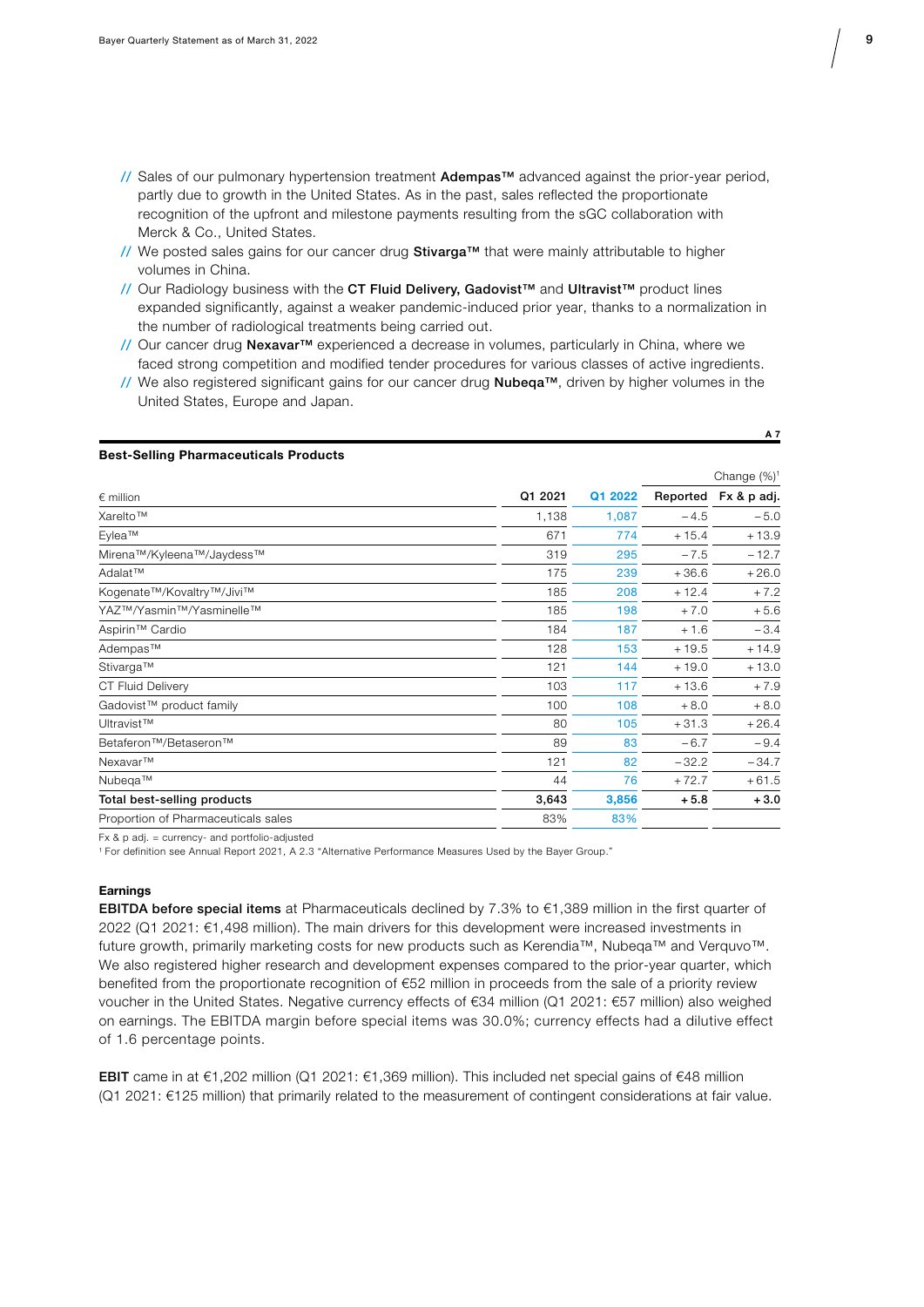- // Sales of our pulmonary hypertension treatment Adempas™ advanced against the prior-year period, partly due to growth in the United States. As in the past, sales reflected the proportionate recognition of the upfront and milestone payments resulting from the sGC collaboration with Merck & Co., United States.
- // We posted sales gains for our cancer drug  $Stivarga^{\pi}$  that were mainly attributable to higher volumes in China.
- // Our Radiology business with the CT Fluid Delivery, Gadovist™ and Ultravist™ product lines expanded significantly, against a weaker pandemic-induced prior year, thanks to a normalization in the number of radiological treatments being carried out.
- // Our cancer drug Nexavar™ experienced a decrease in volumes, particularly in China, where we faced strong competition and modified tender procedures for various classes of active ingredients.
- // We also registered significant gains for our cancer drug Nubeqa™, driven by higher volumes in the United States, Europe and Japan.

### Best-Selling Pharmaceuticals Products

|                                                |         |         | Change $(\%)^1$ |             |
|------------------------------------------------|---------|---------|-----------------|-------------|
| $\epsilon$ million                             | Q1 2021 | Q1 2022 | Reported        | Fx & p adj. |
| Xarelto™                                       | 1,138   | 1,087   | $-4.5$          | $-5.0$      |
| Eylea™                                         | 671     | 774     | $+15.4$         | $+13.9$     |
| Mirena™/Kyleena™/Jaydess™                      | 319     | 295     | $-7.5$          | $-12.7$     |
| Adalat™                                        | 175     | 239     | $+36.6$         | $+26.0$     |
| Kogenate™/Kovaltry™/Jivi™                      | 185     | 208     | $+12.4$         | $+7.2$      |
| YAZ™/Yasmin™/Yasminelle™                       | 185     | 198     | $+7.0$          | $+5.6$      |
| Aspirin <sup>™</sup> Cardio                    | 184     | 187     | $+1.6$          | $-3.4$      |
| Adempas™                                       | 128     | 153     | $+19.5$         | $+14.9$     |
| Stivarga™                                      | 121     | 144     | $+19.0$         | $+13.0$     |
| <b>CT Fluid Delivery</b>                       | 103     | 117     | $+13.6$         | $+7.9$      |
| Gadovist™ product family                       | 100     | 108     | $+8.0$          | $+8.0$      |
| Ultravist™                                     | 80      | 105     | $+31.3$         | $+26.4$     |
| Betaferon <sup>™</sup> /Betaseron <sup>™</sup> | 89      | 83      | $-6.7$          | $-9.4$      |
| Nexavar™                                       | 121     | 82      | $-32.2$         | $-34.7$     |
| Nubega™                                        | 44      | 76      | $+72.7$         | $+61.5$     |
| Total best-selling products                    | 3,643   | 3,856   | $+5.8$          | $+3.0$      |
| Proportion of Pharmaceuticals sales            | 83%     | 83%     |                 |             |

Fx & p adj. = currency- and portfolio-adjusted

1 For definition see Annual Report 2021, A 2.3 "Alternative Performance Measures Used by the Bayer Group."

#### **Earnings**

EBITDA before special items at Pharmaceuticals declined by  $7.3\%$  to  $\epsilon$ 1,389 million in the first quarter of 2022 (Q1 2021: €1,498 million). The main drivers for this development were increased investments in future growth, primarily marketing costs for new products such as Kerendia™, Nubeqa™ and Verquvo™. We also registered higher research and development expenses compared to the prior-year quarter, which benefited from the proportionate recognition of €52 million in proceeds from the sale of a priority review voucher in the United States. Negative currency effects of €34 million (Q1 2021: €57 million) also weighed on earnings. The EBITDA margin before special items was 30.0%; currency effects had a dilutive effect of 1.6 percentage points.

EBIT came in at €1,202 million (Q1 2021: €1,369 million). This included net special gains of €48 million (Q1 2021: €125 million) that primarily related to the measurement of contingent considerations at fair value.

A 7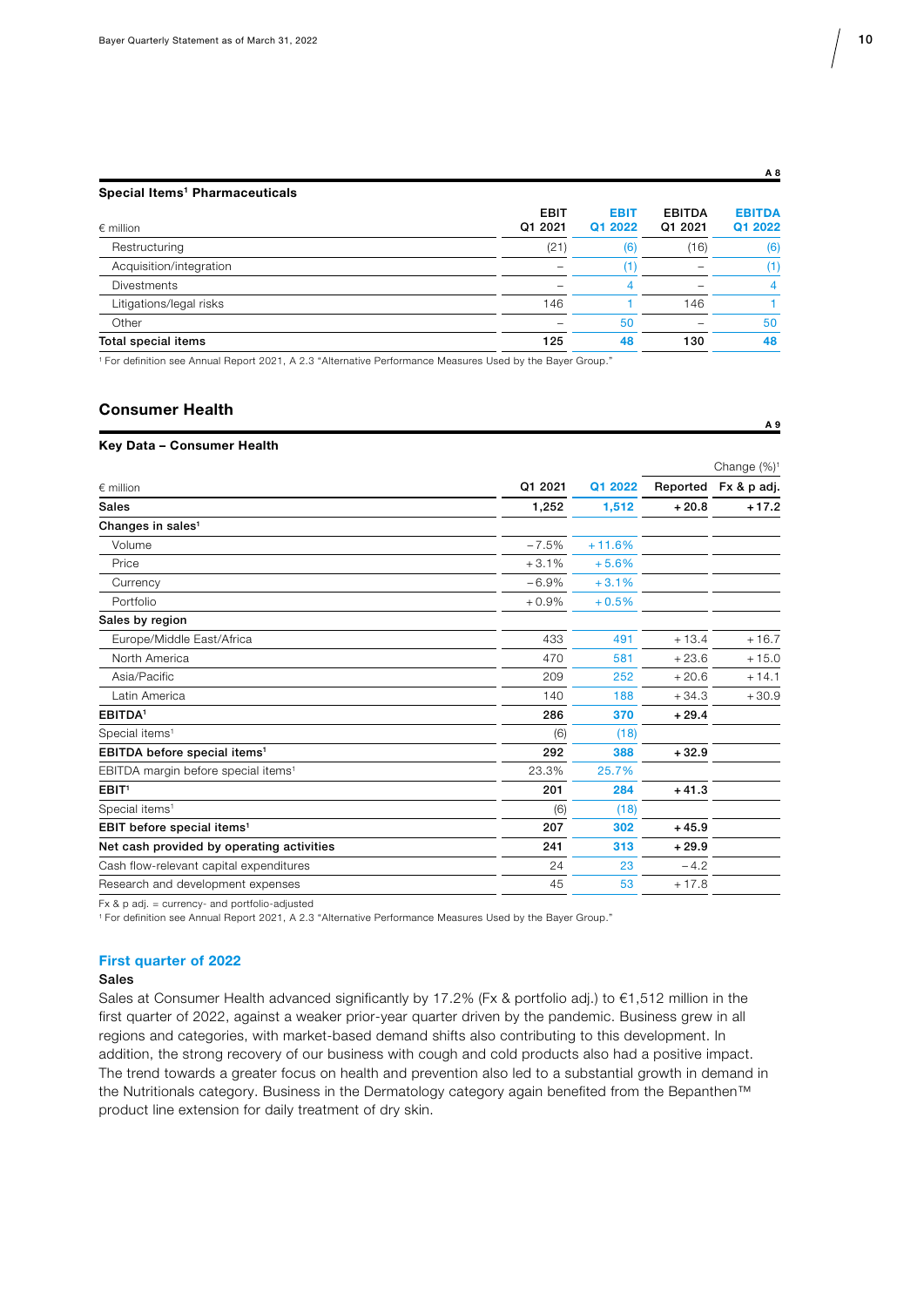A 8

#### Special Items<sup>1</sup> Pharmaceuticals

| <b>EBIT</b><br>Q1 2021 | <b>EBIT</b><br>Q1 2022 | <b>EBITDA</b><br>Q1 2021 | <b>EBITDA</b><br>Q1 2022 |
|------------------------|------------------------|--------------------------|--------------------------|
| (21)                   | (6)                    | (16)                     | (6)                      |
|                        | (1)                    |                          | (1)                      |
|                        | 4                      |                          | 4                        |
| 146                    |                        | 146                      |                          |
|                        | 50                     |                          | 50                       |
| 125                    | 48                     | 130                      | 48                       |
|                        |                        |                          |                          |

1 For definition see Annual Report 2021, A 2.3 "Alternative Performance Measures Used by the Bayer Group."

### Consumer Health A 9

#### Key Data – Consumer Health

|                                                 |         |          | Change (%) <sup>1</sup> |                      |
|-------------------------------------------------|---------|----------|-------------------------|----------------------|
| $∈$ million                                     | Q1 2021 | Q1 2022  |                         | Reported Fx & p adj. |
| <b>Sales</b>                                    | 1,252   | 1,512    | $+20.8$                 | $+17.2$              |
| Changes in sales <sup>1</sup>                   |         |          |                         |                      |
| Volume                                          | $-7.5%$ | $+11.6%$ |                         |                      |
| Price                                           | $+3.1%$ | $+5.6%$  |                         |                      |
| Currency                                        | $-6.9%$ | $+3.1%$  |                         |                      |
| Portfolio                                       | $+0.9%$ | $+0.5%$  |                         |                      |
| Sales by region                                 |         |          |                         |                      |
| Europe/Middle East/Africa                       | 433     | 491      | $+13.4$                 | $+16.7$              |
| North America                                   | 470     | 581      | $+23.6$                 | $+15.0$              |
| Asia/Pacific                                    | 209     | 252      | $+20.6$                 | $+14.1$              |
| Latin America                                   | 140     | 188      | $+34.3$                 | $+30.9$              |
| <b>EBITDA</b> <sup>1</sup>                      | 286     | 370      | $+29.4$                 |                      |
| Special items <sup>1</sup>                      | (6)     | (18)     |                         |                      |
| EBITDA before special items <sup>1</sup>        | 292     | 388      | $+32.9$                 |                      |
| EBITDA margin before special items <sup>1</sup> | 23.3%   | 25.7%    |                         |                      |
| EBIT <sup>1</sup>                               | 201     | 284      | $+41.3$                 |                      |
| Special items <sup>1</sup>                      | (6)     | (18)     |                         |                      |
| EBIT before special items <sup>1</sup>          | 207     | 302      | $+45.9$                 |                      |
| Net cash provided by operating activities       | 241     | 313      | $+29.9$                 |                      |
| Cash flow-relevant capital expenditures         | 24      | 23       | $-4.2$                  |                      |
| Research and development expenses               | 45      | 53       | $+17.8$                 |                      |
|                                                 |         |          |                         |                      |

Fx & p adj. = currency- and portfolio-adjusted

1 For definition see Annual Report 2021, A 2.3 "Alternative Performance Measures Used by the Bayer Group."

#### First quarter of 2022

#### Sales

Sales at Consumer Health advanced significantly by 17.2% (Fx & portfolio adj.) to €1,512 million in the first quarter of 2022, against a weaker prior-year quarter driven by the pandemic. Business grew in all regions and categories, with market-based demand shifts also contributing to this development. In addition, the strong recovery of our business with cough and cold products also had a positive impact. The trend towards a greater focus on health and prevention also led to a substantial growth in demand in the Nutritionals category. Business in the Dermatology category again benefited from the Bepanthen™ product line extension for daily treatment of dry skin.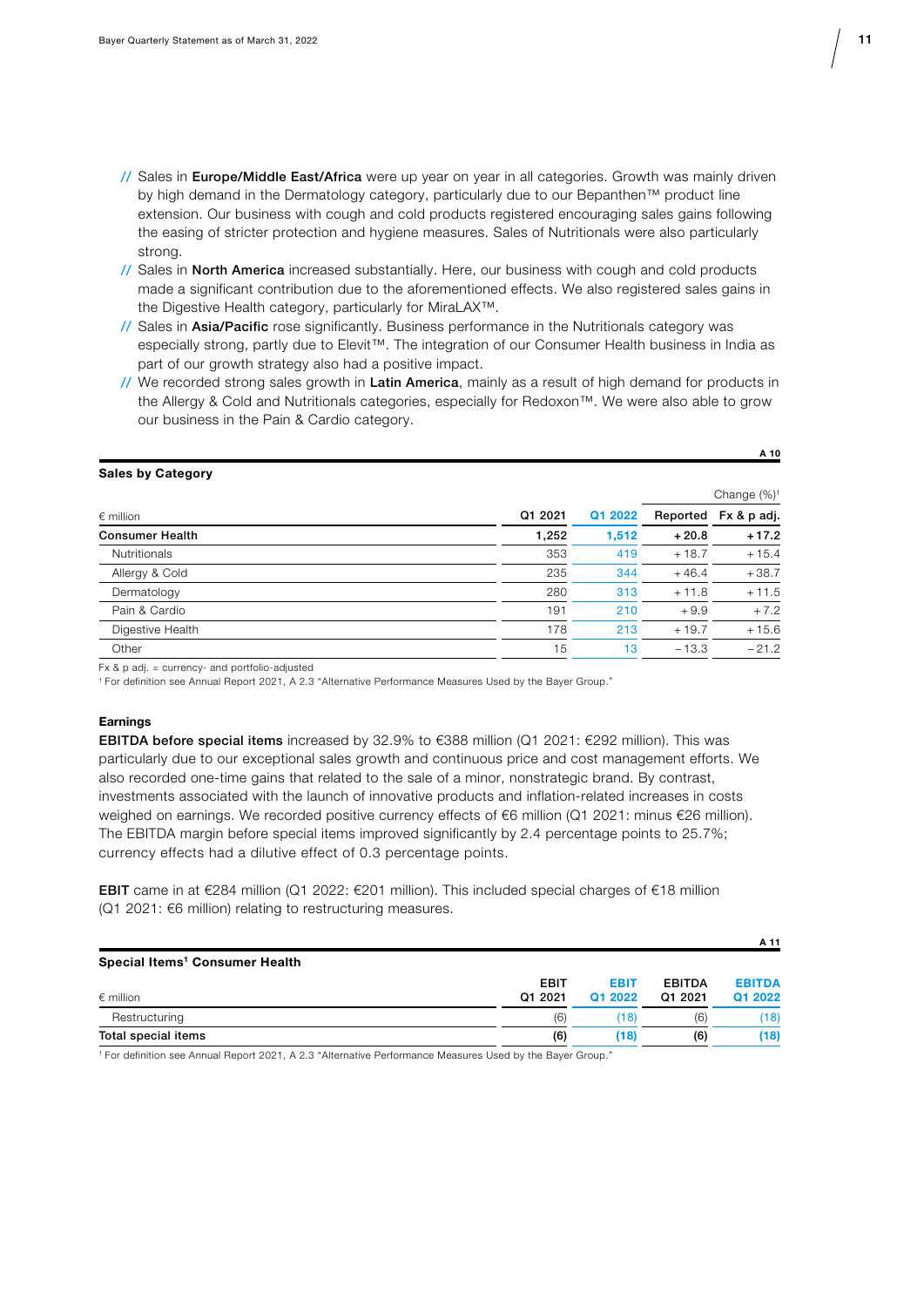- // Sales in Europe/Middle East/Africa were up year on year in all categories. Growth was mainly driven by high demand in the Dermatology category, particularly due to our Bepanthen™ product line extension. Our business with cough and cold products registered encouraging sales gains following the easing of stricter protection and hygiene measures. Sales of Nutritionals were also particularly strong.
- // Sales in North America increased substantially. Here, our business with cough and cold products made a significant contribution due to the aforementioned effects. We also registered sales gains in the Digestive Health category, particularly for MiraLAX™.
- // Sales in Asia/Pacific rose significantly. Business performance in the Nutritionals category was especially strong, partly due to Elevit™. The integration of our Consumer Health business in India as part of our growth strategy also had a positive impact.
- // We recorded strong sales growth in Latin America, mainly as a result of high demand for products in the Allergy & Cold and Nutritionals categories, especially for Redoxon™. We were also able to grow our business in the Pain & Cardio category.

#### Sales by Category

|                        |         |         | Change $(\%)^1$ |                      |  |
|------------------------|---------|---------|-----------------|----------------------|--|
| $\epsilon$ million     | Q1 2021 | Q1 2022 |                 | Reported Fx & p adj. |  |
| <b>Consumer Health</b> | 1,252   | 1.512   | $+20.8$         | $+17.2$              |  |
| <b>Nutritionals</b>    | 353     | 419     | $+18.7$         | $+15.4$              |  |
| Allergy & Cold         | 235     | 344     | $+46.4$         | $+38.7$              |  |
| Dermatology            | 280     | 313     | $+11.8$         | $+11.5$              |  |
| Pain & Cardio          | 191     | 210     | $+9.9$          | $+7.2$               |  |
| Digestive Health       | 178     | 213     | $+19.7$         | $+15.6$              |  |
| Other                  | 15      | 13      | $-13.3$         | $-21.2$              |  |

 $Fx$  & p adj. = currency- and portfolio-adjusted

1 For definition see Annual Report 2021, A 2.3 "Alternative Performance Measures Used by the Bayer Group."

#### **Earnings**

EBITDA before special items increased by 32.9% to €388 million (Q1 2021: €292 million). This was particularly due to our exceptional sales growth and continuous price and cost management efforts. We also recorded one-time gains that related to the sale of a minor, nonstrategic brand. By contrast, investments associated with the launch of innovative products and inflation-related increases in costs weighed on earnings. We recorded positive currency effects of €6 million (Q1 2021: minus €26 million). The EBITDA margin before special items improved significantly by 2.4 percentage points to 25.7%; currency effects had a dilutive effect of 0.3 percentage points.

EBIT came in at €284 million (Q1 2022: €201 million). This included special charges of €18 million (Q1 2021: €6 million) relating to restructuring measures.

|                                            |             |             |               | A 11          |
|--------------------------------------------|-------------|-------------|---------------|---------------|
| Special Items <sup>1</sup> Consumer Health |             |             |               |               |
|                                            | <b>EBIT</b> | <b>EBIT</b> | <b>EBITDA</b> | <b>EBITDA</b> |
| $\epsilon$ million                         | Q1 2021     | Q1 2022     | Q1 2021       | Q1 2022       |
| Restructuring                              | (6)         | (18)        | (6)           | (18)          |
| Total special items                        | (6)         | (18)        | (6)           | (18)          |

1 For definition see Annual Report 2021, A 2.3 "Alternative Performance Measures Used by the Bayer Group."

A 10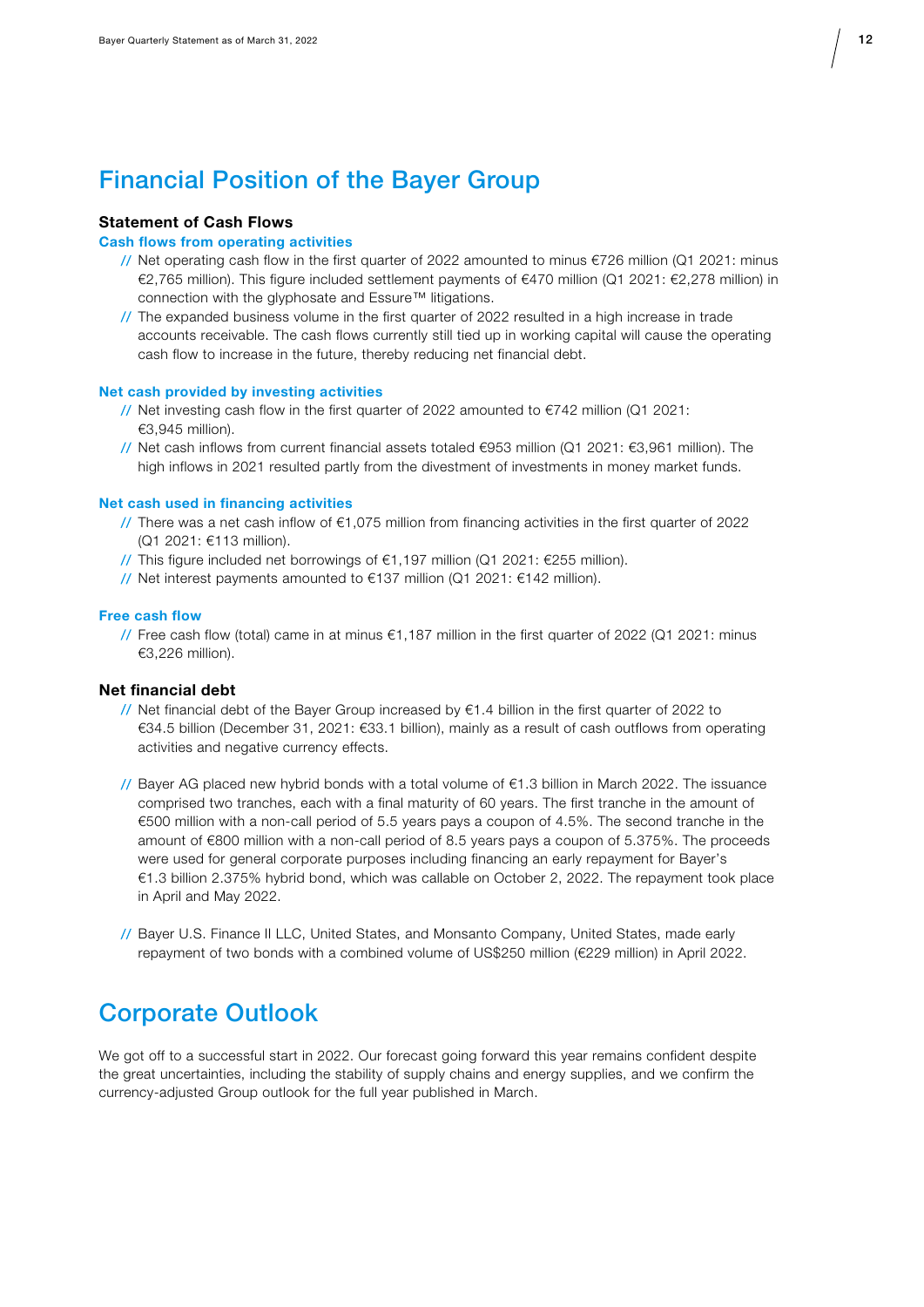## Financial Position of the Bayer Group

#### Statement of Cash Flows

#### Cash flows from operating activities

- // Net operating cash flow in the first quarter of 2022 amounted to minus €726 million (Q1 2021: minus €2,765 million). This figure included settlement payments of €470 million (Q1 2021: €2,278 million) in connection with the glyphosate and Essure™ litigations.
- // The expanded business volume in the first quarter of 2022 resulted in a high increase in trade accounts receivable. The cash flows currently still tied up in working capital will cause the operating cash flow to increase in the future, thereby reducing net financial debt.

#### Net cash provided by investing activities

- // Net investing cash flow in the first quarter of 2022 amounted to €742 million (Q1 2021: €3,945 million).
- // Net cash inflows from current financial assets totaled €953 million (Q1 2021: €3,961 million). The high inflows in 2021 resulted partly from the divestment of investments in money market funds.

#### Net cash used in financing activities

- // There was a net cash inflow of €1,075 million from financing activities in the first quarter of 2022 (Q1 2021: €113 million).
- // This figure included net borrowings of €1,197 million (Q1 2021: €255 million).
- // Net interest payments amounted to €137 million (Q1 2021: €142 million).

#### Free cash flow

// Free cash flow (total) came in at minus €1,187 million in the first quarter of 2022 (Q1 2021: minus €3,226 million).

#### Net financial debt

- // Net financial debt of the Bayer Group increased by  $€1.4$  billion in the first quarter of 2022 to €34.5 billion (December 31, 2021: €33.1 billion), mainly as a result of cash outflows from operating activities and negative currency effects.
- // Bayer AG placed new hybrid bonds with a total volume of  $\epsilon$ 1.3 billion in March 2022. The issuance comprised two tranches, each with a final maturity of 60 years. The first tranche in the amount of €500 million with a non-call period of 5.5 years pays a coupon of 4.5%. The second tranche in the amount of €800 million with a non-call period of 8.5 years pays a coupon of 5.375%. The proceeds were used for general corporate purposes including financing an early repayment for Bayer's €1.3 billion 2.375% hybrid bond, which was callable on October 2, 2022. The repayment took place in April and May 2022.
- // Bayer U.S. Finance II LLC, United States, and Monsanto Company, United States, made early repayment of two bonds with a combined volume of US\$250 million (€229 million) in April 2022.

### Corporate Outlook

We got off to a successful start in 2022. Our forecast going forward this year remains confident despite the great uncertainties, including the stability of supply chains and energy supplies, and we confirm the currency-adjusted Group outlook for the full year published in March.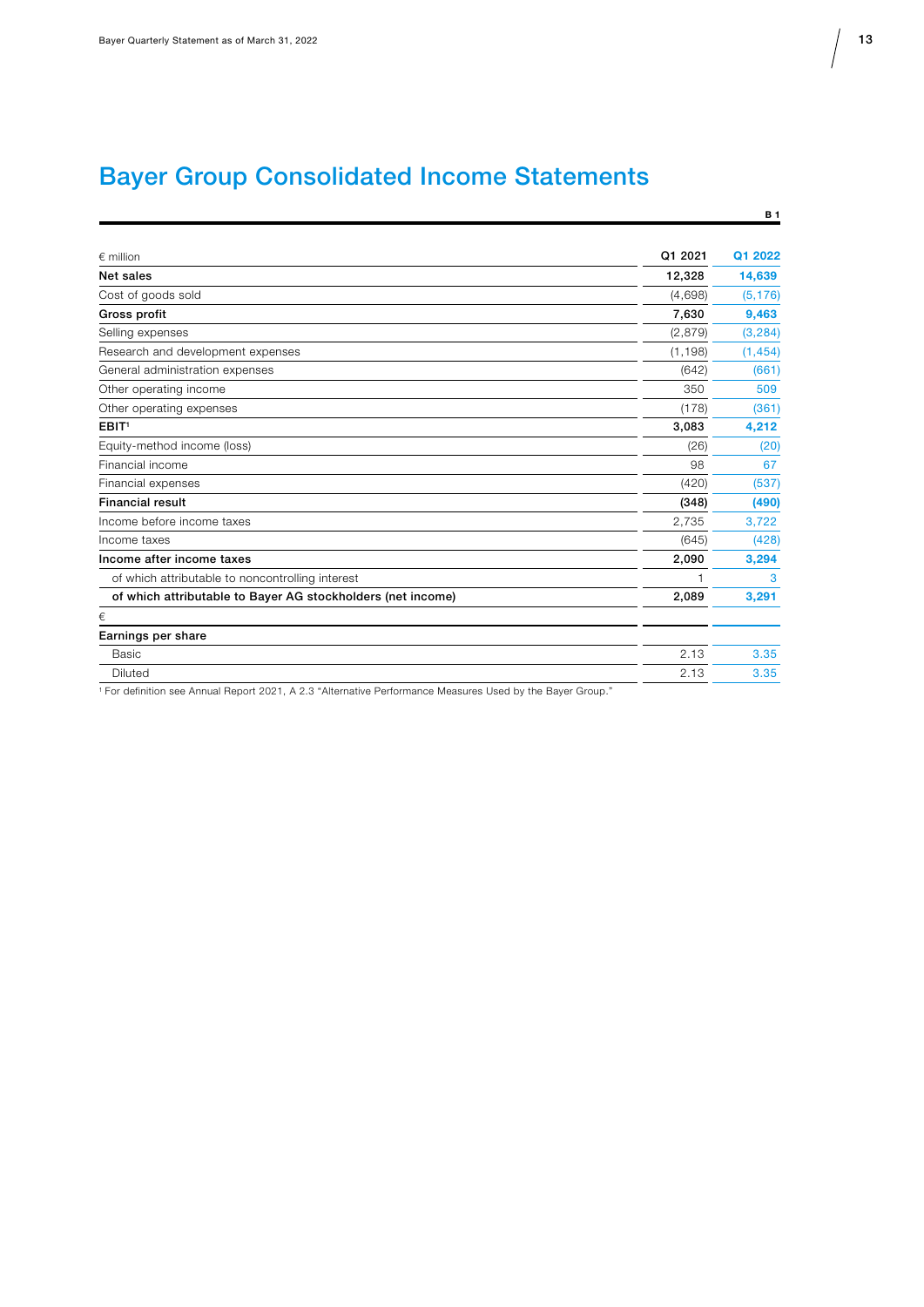# Bayer Group Consolidated Income Statements

|                                                             |          | <b>B1</b> |
|-------------------------------------------------------------|----------|-----------|
| $\epsilon$ million                                          | Q1 2021  | Q1 2022   |
| Net sales                                                   | 12,328   | 14,639    |
| Cost of goods sold                                          | (4,698)  | (5, 176)  |
| Gross profit                                                | 7,630    | 9,463     |
| Selling expenses                                            | (2,879)  | (3, 284)  |
| Research and development expenses                           | (1, 198) | (1, 454)  |
| General administration expenses                             | (642)    | (661)     |
| Other operating income                                      | 350      | 509       |
| Other operating expenses                                    | (178)    | (361)     |
| EBIT <sup>1</sup>                                           | 3,083    | 4,212     |
| Equity-method income (loss)                                 | (26)     | (20)      |
| Financial income                                            | 98       | 67        |
| Financial expenses                                          | (420)    | (537)     |
| <b>Financial result</b>                                     | (348)    | (490)     |
| Income before income taxes                                  | 2.735    | 3.722     |
| Income taxes                                                | (645)    | (428)     |
| Income after income taxes                                   | 2,090    | 3,294     |
| of which attributable to noncontrolling interest            | 1        | 3         |
| of which attributable to Bayer AG stockholders (net income) | 2,089    | 3,291     |
| €                                                           |          |           |
| Earnings per share                                          |          |           |
| Basic                                                       | 2.13     | 3.35      |
| <b>Diluted</b>                                              | 2.13     | 3.35      |
|                                                             |          |           |

1 For definition see Annual Report 2021, A 2.3 "Alternative Performance Measures Used by the Bayer Group."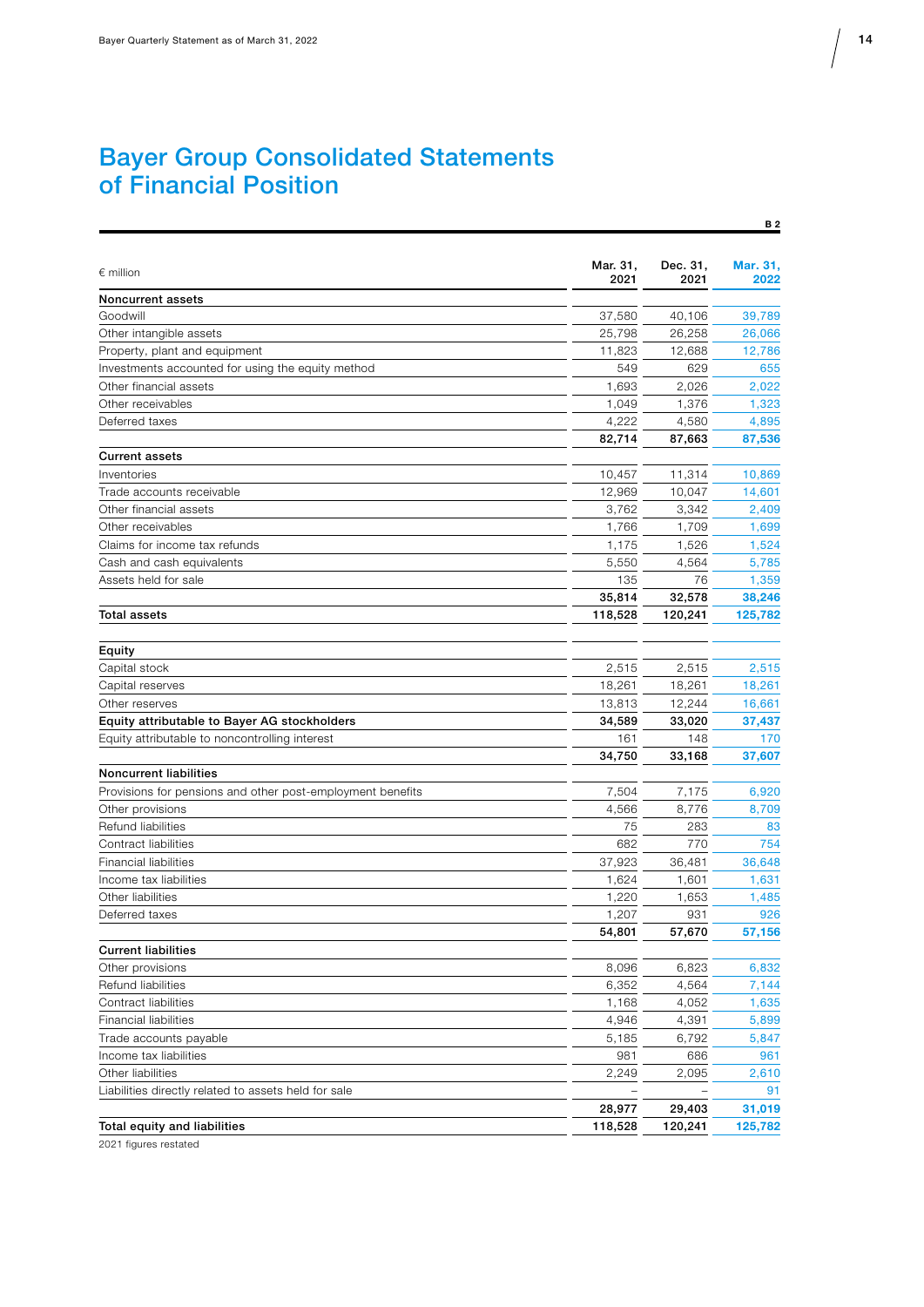### Bayer Group Consolidated Statements of Financial Position

| $\epsilon$ million<br>2021<br>2021<br>2022<br>Noncurrent assets<br>37,580<br>Goodwill<br>40,106<br>39,789<br>Other intangible assets<br>25,798<br>26,258<br>26,066<br>Property, plant and equipment<br>11,823<br>12,688<br>12,786<br>Investments accounted for using the equity method<br>549<br>629<br>655<br>2,026<br>2,022<br>Other financial assets<br>1,693<br>Other receivables<br>1,049<br>1,376<br>1,323<br>Deferred taxes<br>4,222<br>4,580<br>4,895<br>82,714<br>87,663<br>87,536<br><b>Current assets</b><br>10,457<br>11,314<br>10,869<br>Inventories<br>Trade accounts receivable<br>12,969<br>10,047<br>14,601<br>Other financial assets<br>3,342<br>2,409<br>3,762<br>Other receivables<br>1,766<br>1,709<br>1,699<br>Claims for income tax refunds<br>1,524<br>1,175<br>1,526<br>Cash and cash equivalents<br>5,550<br>4,564<br>5,785<br>Assets held for sale<br>135<br>76<br>1,359<br>35,814<br>32,578<br>38,246<br>118,528<br>120,241<br><b>Total assets</b><br>125,782<br>Equity<br>2,515<br>2,515<br>2,515<br>Capital stock<br>18,261<br>18,261<br>Capital reserves<br>18,261<br>Other reserves<br>13,813<br>12,244<br>16,661<br>Equity attributable to Bayer AG stockholders<br>34,589<br>33,020<br>37,437<br>161<br>148<br>170<br>Equity attributable to noncontrolling interest<br>34,750<br>33,168<br>37,607<br><b>Noncurrent liabilities</b><br>Provisions for pensions and other post-employment benefits<br>7,504<br>7,175<br>6,920<br>Other provisions<br>4,566<br>8,776<br>8,709<br>Refund liabilities<br>283<br>75<br>83<br>Contract liabilities<br>754<br>682<br>770<br><b>Financial liabilities</b><br>37,923<br>36,481<br>36,648<br>Income tax liabilities<br>1,624<br>1,601<br>1,631<br>Other liabilities<br>1,220<br>1,653<br>1,485<br>931<br>926<br>Deferred taxes<br>1,207<br>54,801<br>57,670<br>57,156<br><b>Current liabilities</b><br>Other provisions<br>8,096<br>6,823<br>6,832<br>6,352<br>4,564<br>7,144<br>Refund liabilities<br>Contract liabilities<br>1,168<br>4,052<br>1,635<br><b>Financial liabilities</b><br>4,946<br>4,391<br>5,899<br>Trade accounts payable<br>5,185<br>6,792<br>5,847<br>981<br>686<br>961<br>Income tax liabilities<br>Other liabilities<br>2,249<br>2,095<br>2,610<br>Liabilities directly related to assets held for sale<br>91<br>28,977<br>29,403<br>31,019<br>Total equity and liabilities<br>118,528<br>125,782<br>120,241 | Mar. 31, | Dec. 31, | Mar. 31. |
|------------------------------------------------------------------------------------------------------------------------------------------------------------------------------------------------------------------------------------------------------------------------------------------------------------------------------------------------------------------------------------------------------------------------------------------------------------------------------------------------------------------------------------------------------------------------------------------------------------------------------------------------------------------------------------------------------------------------------------------------------------------------------------------------------------------------------------------------------------------------------------------------------------------------------------------------------------------------------------------------------------------------------------------------------------------------------------------------------------------------------------------------------------------------------------------------------------------------------------------------------------------------------------------------------------------------------------------------------------------------------------------------------------------------------------------------------------------------------------------------------------------------------------------------------------------------------------------------------------------------------------------------------------------------------------------------------------------------------------------------------------------------------------------------------------------------------------------------------------------------------------------------------------------------------------------------------------------------------------------------------------------------------------------------------------------------------------------------------------------------------------------------------------------------------------------------------------------------------------------------------------------------------------------------------------------------------------------------------------------------------------------------------------|----------|----------|----------|
|                                                                                                                                                                                                                                                                                                                                                                                                                                                                                                                                                                                                                                                                                                                                                                                                                                                                                                                                                                                                                                                                                                                                                                                                                                                                                                                                                                                                                                                                                                                                                                                                                                                                                                                                                                                                                                                                                                                                                                                                                                                                                                                                                                                                                                                                                                                                                                                                            |          |          |          |
|                                                                                                                                                                                                                                                                                                                                                                                                                                                                                                                                                                                                                                                                                                                                                                                                                                                                                                                                                                                                                                                                                                                                                                                                                                                                                                                                                                                                                                                                                                                                                                                                                                                                                                                                                                                                                                                                                                                                                                                                                                                                                                                                                                                                                                                                                                                                                                                                            |          |          |          |
|                                                                                                                                                                                                                                                                                                                                                                                                                                                                                                                                                                                                                                                                                                                                                                                                                                                                                                                                                                                                                                                                                                                                                                                                                                                                                                                                                                                                                                                                                                                                                                                                                                                                                                                                                                                                                                                                                                                                                                                                                                                                                                                                                                                                                                                                                                                                                                                                            |          |          |          |
|                                                                                                                                                                                                                                                                                                                                                                                                                                                                                                                                                                                                                                                                                                                                                                                                                                                                                                                                                                                                                                                                                                                                                                                                                                                                                                                                                                                                                                                                                                                                                                                                                                                                                                                                                                                                                                                                                                                                                                                                                                                                                                                                                                                                                                                                                                                                                                                                            |          |          |          |
|                                                                                                                                                                                                                                                                                                                                                                                                                                                                                                                                                                                                                                                                                                                                                                                                                                                                                                                                                                                                                                                                                                                                                                                                                                                                                                                                                                                                                                                                                                                                                                                                                                                                                                                                                                                                                                                                                                                                                                                                                                                                                                                                                                                                                                                                                                                                                                                                            |          |          |          |
|                                                                                                                                                                                                                                                                                                                                                                                                                                                                                                                                                                                                                                                                                                                                                                                                                                                                                                                                                                                                                                                                                                                                                                                                                                                                                                                                                                                                                                                                                                                                                                                                                                                                                                                                                                                                                                                                                                                                                                                                                                                                                                                                                                                                                                                                                                                                                                                                            |          |          |          |
|                                                                                                                                                                                                                                                                                                                                                                                                                                                                                                                                                                                                                                                                                                                                                                                                                                                                                                                                                                                                                                                                                                                                                                                                                                                                                                                                                                                                                                                                                                                                                                                                                                                                                                                                                                                                                                                                                                                                                                                                                                                                                                                                                                                                                                                                                                                                                                                                            |          |          |          |
|                                                                                                                                                                                                                                                                                                                                                                                                                                                                                                                                                                                                                                                                                                                                                                                                                                                                                                                                                                                                                                                                                                                                                                                                                                                                                                                                                                                                                                                                                                                                                                                                                                                                                                                                                                                                                                                                                                                                                                                                                                                                                                                                                                                                                                                                                                                                                                                                            |          |          |          |
|                                                                                                                                                                                                                                                                                                                                                                                                                                                                                                                                                                                                                                                                                                                                                                                                                                                                                                                                                                                                                                                                                                                                                                                                                                                                                                                                                                                                                                                                                                                                                                                                                                                                                                                                                                                                                                                                                                                                                                                                                                                                                                                                                                                                                                                                                                                                                                                                            |          |          |          |
|                                                                                                                                                                                                                                                                                                                                                                                                                                                                                                                                                                                                                                                                                                                                                                                                                                                                                                                                                                                                                                                                                                                                                                                                                                                                                                                                                                                                                                                                                                                                                                                                                                                                                                                                                                                                                                                                                                                                                                                                                                                                                                                                                                                                                                                                                                                                                                                                            |          |          |          |
|                                                                                                                                                                                                                                                                                                                                                                                                                                                                                                                                                                                                                                                                                                                                                                                                                                                                                                                                                                                                                                                                                                                                                                                                                                                                                                                                                                                                                                                                                                                                                                                                                                                                                                                                                                                                                                                                                                                                                                                                                                                                                                                                                                                                                                                                                                                                                                                                            |          |          |          |
|                                                                                                                                                                                                                                                                                                                                                                                                                                                                                                                                                                                                                                                                                                                                                                                                                                                                                                                                                                                                                                                                                                                                                                                                                                                                                                                                                                                                                                                                                                                                                                                                                                                                                                                                                                                                                                                                                                                                                                                                                                                                                                                                                                                                                                                                                                                                                                                                            |          |          |          |
|                                                                                                                                                                                                                                                                                                                                                                                                                                                                                                                                                                                                                                                                                                                                                                                                                                                                                                                                                                                                                                                                                                                                                                                                                                                                                                                                                                                                                                                                                                                                                                                                                                                                                                                                                                                                                                                                                                                                                                                                                                                                                                                                                                                                                                                                                                                                                                                                            |          |          |          |
|                                                                                                                                                                                                                                                                                                                                                                                                                                                                                                                                                                                                                                                                                                                                                                                                                                                                                                                                                                                                                                                                                                                                                                                                                                                                                                                                                                                                                                                                                                                                                                                                                                                                                                                                                                                                                                                                                                                                                                                                                                                                                                                                                                                                                                                                                                                                                                                                            |          |          |          |
|                                                                                                                                                                                                                                                                                                                                                                                                                                                                                                                                                                                                                                                                                                                                                                                                                                                                                                                                                                                                                                                                                                                                                                                                                                                                                                                                                                                                                                                                                                                                                                                                                                                                                                                                                                                                                                                                                                                                                                                                                                                                                                                                                                                                                                                                                                                                                                                                            |          |          |          |
|                                                                                                                                                                                                                                                                                                                                                                                                                                                                                                                                                                                                                                                                                                                                                                                                                                                                                                                                                                                                                                                                                                                                                                                                                                                                                                                                                                                                                                                                                                                                                                                                                                                                                                                                                                                                                                                                                                                                                                                                                                                                                                                                                                                                                                                                                                                                                                                                            |          |          |          |
|                                                                                                                                                                                                                                                                                                                                                                                                                                                                                                                                                                                                                                                                                                                                                                                                                                                                                                                                                                                                                                                                                                                                                                                                                                                                                                                                                                                                                                                                                                                                                                                                                                                                                                                                                                                                                                                                                                                                                                                                                                                                                                                                                                                                                                                                                                                                                                                                            |          |          |          |
|                                                                                                                                                                                                                                                                                                                                                                                                                                                                                                                                                                                                                                                                                                                                                                                                                                                                                                                                                                                                                                                                                                                                                                                                                                                                                                                                                                                                                                                                                                                                                                                                                                                                                                                                                                                                                                                                                                                                                                                                                                                                                                                                                                                                                                                                                                                                                                                                            |          |          |          |
|                                                                                                                                                                                                                                                                                                                                                                                                                                                                                                                                                                                                                                                                                                                                                                                                                                                                                                                                                                                                                                                                                                                                                                                                                                                                                                                                                                                                                                                                                                                                                                                                                                                                                                                                                                                                                                                                                                                                                                                                                                                                                                                                                                                                                                                                                                                                                                                                            |          |          |          |
|                                                                                                                                                                                                                                                                                                                                                                                                                                                                                                                                                                                                                                                                                                                                                                                                                                                                                                                                                                                                                                                                                                                                                                                                                                                                                                                                                                                                                                                                                                                                                                                                                                                                                                                                                                                                                                                                                                                                                                                                                                                                                                                                                                                                                                                                                                                                                                                                            |          |          |          |
|                                                                                                                                                                                                                                                                                                                                                                                                                                                                                                                                                                                                                                                                                                                                                                                                                                                                                                                                                                                                                                                                                                                                                                                                                                                                                                                                                                                                                                                                                                                                                                                                                                                                                                                                                                                                                                                                                                                                                                                                                                                                                                                                                                                                                                                                                                                                                                                                            |          |          |          |
|                                                                                                                                                                                                                                                                                                                                                                                                                                                                                                                                                                                                                                                                                                                                                                                                                                                                                                                                                                                                                                                                                                                                                                                                                                                                                                                                                                                                                                                                                                                                                                                                                                                                                                                                                                                                                                                                                                                                                                                                                                                                                                                                                                                                                                                                                                                                                                                                            |          |          |          |
|                                                                                                                                                                                                                                                                                                                                                                                                                                                                                                                                                                                                                                                                                                                                                                                                                                                                                                                                                                                                                                                                                                                                                                                                                                                                                                                                                                                                                                                                                                                                                                                                                                                                                                                                                                                                                                                                                                                                                                                                                                                                                                                                                                                                                                                                                                                                                                                                            |          |          |          |
|                                                                                                                                                                                                                                                                                                                                                                                                                                                                                                                                                                                                                                                                                                                                                                                                                                                                                                                                                                                                                                                                                                                                                                                                                                                                                                                                                                                                                                                                                                                                                                                                                                                                                                                                                                                                                                                                                                                                                                                                                                                                                                                                                                                                                                                                                                                                                                                                            |          |          |          |
|                                                                                                                                                                                                                                                                                                                                                                                                                                                                                                                                                                                                                                                                                                                                                                                                                                                                                                                                                                                                                                                                                                                                                                                                                                                                                                                                                                                                                                                                                                                                                                                                                                                                                                                                                                                                                                                                                                                                                                                                                                                                                                                                                                                                                                                                                                                                                                                                            |          |          |          |
|                                                                                                                                                                                                                                                                                                                                                                                                                                                                                                                                                                                                                                                                                                                                                                                                                                                                                                                                                                                                                                                                                                                                                                                                                                                                                                                                                                                                                                                                                                                                                                                                                                                                                                                                                                                                                                                                                                                                                                                                                                                                                                                                                                                                                                                                                                                                                                                                            |          |          |          |
|                                                                                                                                                                                                                                                                                                                                                                                                                                                                                                                                                                                                                                                                                                                                                                                                                                                                                                                                                                                                                                                                                                                                                                                                                                                                                                                                                                                                                                                                                                                                                                                                                                                                                                                                                                                                                                                                                                                                                                                                                                                                                                                                                                                                                                                                                                                                                                                                            |          |          |          |
|                                                                                                                                                                                                                                                                                                                                                                                                                                                                                                                                                                                                                                                                                                                                                                                                                                                                                                                                                                                                                                                                                                                                                                                                                                                                                                                                                                                                                                                                                                                                                                                                                                                                                                                                                                                                                                                                                                                                                                                                                                                                                                                                                                                                                                                                                                                                                                                                            |          |          |          |
|                                                                                                                                                                                                                                                                                                                                                                                                                                                                                                                                                                                                                                                                                                                                                                                                                                                                                                                                                                                                                                                                                                                                                                                                                                                                                                                                                                                                                                                                                                                                                                                                                                                                                                                                                                                                                                                                                                                                                                                                                                                                                                                                                                                                                                                                                                                                                                                                            |          |          |          |
|                                                                                                                                                                                                                                                                                                                                                                                                                                                                                                                                                                                                                                                                                                                                                                                                                                                                                                                                                                                                                                                                                                                                                                                                                                                                                                                                                                                                                                                                                                                                                                                                                                                                                                                                                                                                                                                                                                                                                                                                                                                                                                                                                                                                                                                                                                                                                                                                            |          |          |          |
|                                                                                                                                                                                                                                                                                                                                                                                                                                                                                                                                                                                                                                                                                                                                                                                                                                                                                                                                                                                                                                                                                                                                                                                                                                                                                                                                                                                                                                                                                                                                                                                                                                                                                                                                                                                                                                                                                                                                                                                                                                                                                                                                                                                                                                                                                                                                                                                                            |          |          |          |
|                                                                                                                                                                                                                                                                                                                                                                                                                                                                                                                                                                                                                                                                                                                                                                                                                                                                                                                                                                                                                                                                                                                                                                                                                                                                                                                                                                                                                                                                                                                                                                                                                                                                                                                                                                                                                                                                                                                                                                                                                                                                                                                                                                                                                                                                                                                                                                                                            |          |          |          |
|                                                                                                                                                                                                                                                                                                                                                                                                                                                                                                                                                                                                                                                                                                                                                                                                                                                                                                                                                                                                                                                                                                                                                                                                                                                                                                                                                                                                                                                                                                                                                                                                                                                                                                                                                                                                                                                                                                                                                                                                                                                                                                                                                                                                                                                                                                                                                                                                            |          |          |          |
|                                                                                                                                                                                                                                                                                                                                                                                                                                                                                                                                                                                                                                                                                                                                                                                                                                                                                                                                                                                                                                                                                                                                                                                                                                                                                                                                                                                                                                                                                                                                                                                                                                                                                                                                                                                                                                                                                                                                                                                                                                                                                                                                                                                                                                                                                                                                                                                                            |          |          |          |
|                                                                                                                                                                                                                                                                                                                                                                                                                                                                                                                                                                                                                                                                                                                                                                                                                                                                                                                                                                                                                                                                                                                                                                                                                                                                                                                                                                                                                                                                                                                                                                                                                                                                                                                                                                                                                                                                                                                                                                                                                                                                                                                                                                                                                                                                                                                                                                                                            |          |          |          |
|                                                                                                                                                                                                                                                                                                                                                                                                                                                                                                                                                                                                                                                                                                                                                                                                                                                                                                                                                                                                                                                                                                                                                                                                                                                                                                                                                                                                                                                                                                                                                                                                                                                                                                                                                                                                                                                                                                                                                                                                                                                                                                                                                                                                                                                                                                                                                                                                            |          |          |          |
|                                                                                                                                                                                                                                                                                                                                                                                                                                                                                                                                                                                                                                                                                                                                                                                                                                                                                                                                                                                                                                                                                                                                                                                                                                                                                                                                                                                                                                                                                                                                                                                                                                                                                                                                                                                                                                                                                                                                                                                                                                                                                                                                                                                                                                                                                                                                                                                                            |          |          |          |
|                                                                                                                                                                                                                                                                                                                                                                                                                                                                                                                                                                                                                                                                                                                                                                                                                                                                                                                                                                                                                                                                                                                                                                                                                                                                                                                                                                                                                                                                                                                                                                                                                                                                                                                                                                                                                                                                                                                                                                                                                                                                                                                                                                                                                                                                                                                                                                                                            |          |          |          |
|                                                                                                                                                                                                                                                                                                                                                                                                                                                                                                                                                                                                                                                                                                                                                                                                                                                                                                                                                                                                                                                                                                                                                                                                                                                                                                                                                                                                                                                                                                                                                                                                                                                                                                                                                                                                                                                                                                                                                                                                                                                                                                                                                                                                                                                                                                                                                                                                            |          |          |          |
|                                                                                                                                                                                                                                                                                                                                                                                                                                                                                                                                                                                                                                                                                                                                                                                                                                                                                                                                                                                                                                                                                                                                                                                                                                                                                                                                                                                                                                                                                                                                                                                                                                                                                                                                                                                                                                                                                                                                                                                                                                                                                                                                                                                                                                                                                                                                                                                                            |          |          |          |
|                                                                                                                                                                                                                                                                                                                                                                                                                                                                                                                                                                                                                                                                                                                                                                                                                                                                                                                                                                                                                                                                                                                                                                                                                                                                                                                                                                                                                                                                                                                                                                                                                                                                                                                                                                                                                                                                                                                                                                                                                                                                                                                                                                                                                                                                                                                                                                                                            |          |          |          |
|                                                                                                                                                                                                                                                                                                                                                                                                                                                                                                                                                                                                                                                                                                                                                                                                                                                                                                                                                                                                                                                                                                                                                                                                                                                                                                                                                                                                                                                                                                                                                                                                                                                                                                                                                                                                                                                                                                                                                                                                                                                                                                                                                                                                                                                                                                                                                                                                            |          |          |          |
|                                                                                                                                                                                                                                                                                                                                                                                                                                                                                                                                                                                                                                                                                                                                                                                                                                                                                                                                                                                                                                                                                                                                                                                                                                                                                                                                                                                                                                                                                                                                                                                                                                                                                                                                                                                                                                                                                                                                                                                                                                                                                                                                                                                                                                                                                                                                                                                                            |          |          |          |
|                                                                                                                                                                                                                                                                                                                                                                                                                                                                                                                                                                                                                                                                                                                                                                                                                                                                                                                                                                                                                                                                                                                                                                                                                                                                                                                                                                                                                                                                                                                                                                                                                                                                                                                                                                                                                                                                                                                                                                                                                                                                                                                                                                                                                                                                                                                                                                                                            |          |          |          |
|                                                                                                                                                                                                                                                                                                                                                                                                                                                                                                                                                                                                                                                                                                                                                                                                                                                                                                                                                                                                                                                                                                                                                                                                                                                                                                                                                                                                                                                                                                                                                                                                                                                                                                                                                                                                                                                                                                                                                                                                                                                                                                                                                                                                                                                                                                                                                                                                            |          |          |          |
|                                                                                                                                                                                                                                                                                                                                                                                                                                                                                                                                                                                                                                                                                                                                                                                                                                                                                                                                                                                                                                                                                                                                                                                                                                                                                                                                                                                                                                                                                                                                                                                                                                                                                                                                                                                                                                                                                                                                                                                                                                                                                                                                                                                                                                                                                                                                                                                                            |          |          |          |
|                                                                                                                                                                                                                                                                                                                                                                                                                                                                                                                                                                                                                                                                                                                                                                                                                                                                                                                                                                                                                                                                                                                                                                                                                                                                                                                                                                                                                                                                                                                                                                                                                                                                                                                                                                                                                                                                                                                                                                                                                                                                                                                                                                                                                                                                                                                                                                                                            |          |          |          |
|                                                                                                                                                                                                                                                                                                                                                                                                                                                                                                                                                                                                                                                                                                                                                                                                                                                                                                                                                                                                                                                                                                                                                                                                                                                                                                                                                                                                                                                                                                                                                                                                                                                                                                                                                                                                                                                                                                                                                                                                                                                                                                                                                                                                                                                                                                                                                                                                            |          |          |          |
|                                                                                                                                                                                                                                                                                                                                                                                                                                                                                                                                                                                                                                                                                                                                                                                                                                                                                                                                                                                                                                                                                                                                                                                                                                                                                                                                                                                                                                                                                                                                                                                                                                                                                                                                                                                                                                                                                                                                                                                                                                                                                                                                                                                                                                                                                                                                                                                                            |          |          |          |

2021 figures restated

B 2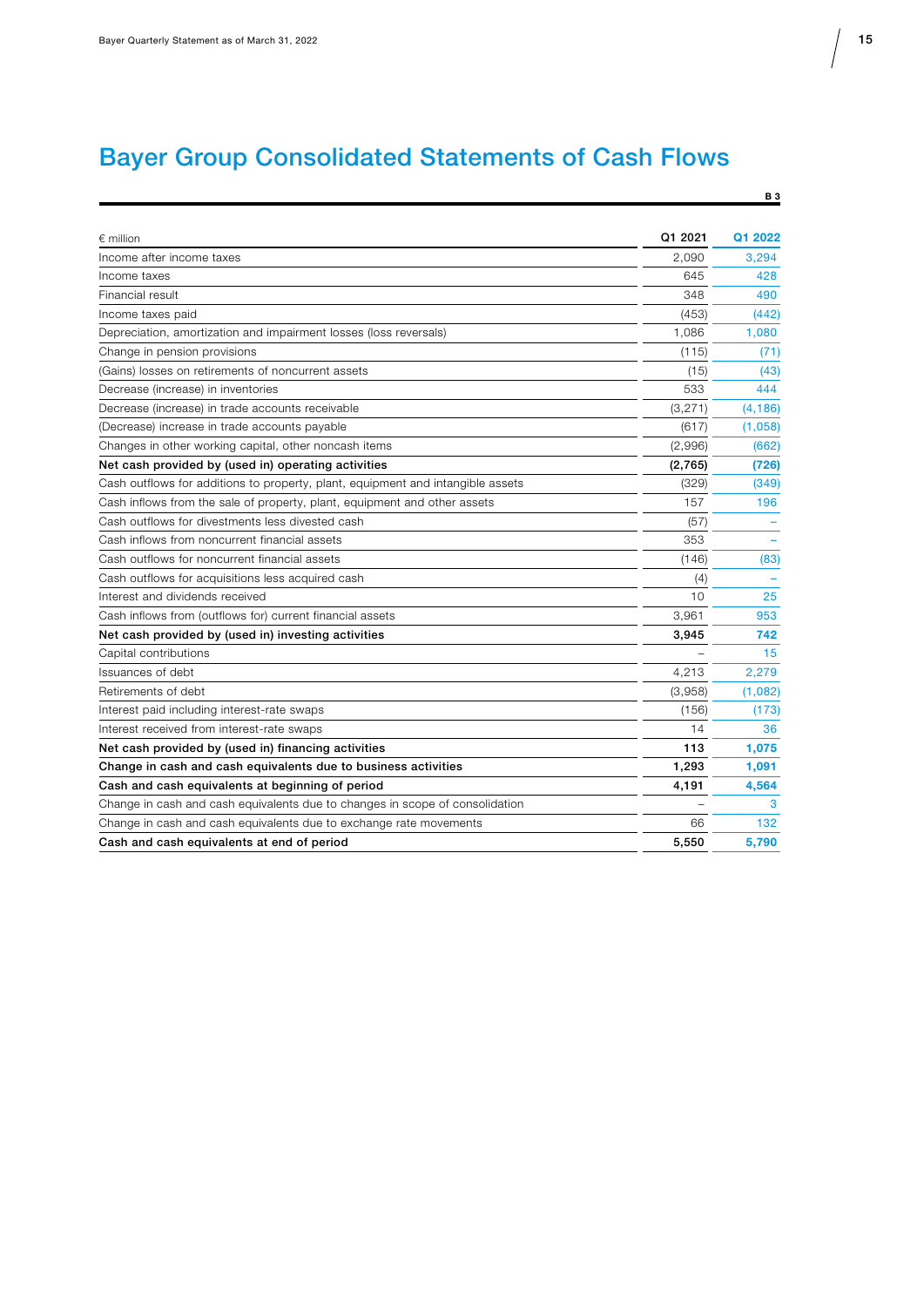# Bayer Group Consolidated Statements of Cash Flows

| $\epsilon$ million                                                              | Q1 2021  | Q1 2022  |
|---------------------------------------------------------------------------------|----------|----------|
| Income after income taxes                                                       | 2,090    | 3.294    |
| Income taxes                                                                    | 645      | 428      |
| Financial result                                                                | 348      | 490      |
| Income taxes paid                                                               | (453)    | (442)    |
| Depreciation, amortization and impairment losses (loss reversals)               | 1,086    | 1,080    |
| Change in pension provisions                                                    | (115)    | (71)     |
| (Gains) losses on retirements of noncurrent assets                              | (15)     | (43)     |
| Decrease (increase) in inventories                                              | 533      | 444      |
| Decrease (increase) in trade accounts receivable                                | (3, 271) | (4, 186) |
| (Decrease) increase in trade accounts payable                                   | (617)    | (1,058)  |
| Changes in other working capital, other noncash items                           | (2,996)  | (662)    |
| Net cash provided by (used in) operating activities                             | (2,765)  | (726)    |
| Cash outflows for additions to property, plant, equipment and intangible assets | (329)    | (349)    |
| Cash inflows from the sale of property, plant, equipment and other assets       | 157      | 196      |
| Cash outflows for divestments less divested cash                                | (57)     |          |
| Cash inflows from noncurrent financial assets                                   | 353      |          |
| Cash outflows for noncurrent financial assets                                   | (146)    | (83)     |
| Cash outflows for acquisitions less acquired cash                               | (4)      |          |
| Interest and dividends received                                                 | 10       | 25       |
| Cash inflows from (outflows for) current financial assets                       | 3,961    | 953      |
| Net cash provided by (used in) investing activities                             | 3,945    | 742      |
| Capital contributions                                                           |          | 15       |
| Issuances of debt                                                               | 4,213    | 2,279    |
| Retirements of debt                                                             | (3,958)  | (1,082)  |
| Interest paid including interest-rate swaps                                     | (156)    | (173)    |
| Interest received from interest-rate swaps                                      | 14       | 36       |
| Net cash provided by (used in) financing activities                             | 113      | 1,075    |
| Change in cash and cash equivalents due to business activities                  | 1,293    | 1,091    |
| Cash and cash equivalents at beginning of period                                | 4,191    | 4,564    |
| Change in cash and cash equivalents due to changes in scope of consolidation    |          | 3        |
| Change in cash and cash equivalents due to exchange rate movements              | 66       | 132      |
| Cash and cash equivalents at end of period                                      | 5,550    | 5,790    |
|                                                                                 |          |          |

 $B<sub>3</sub>$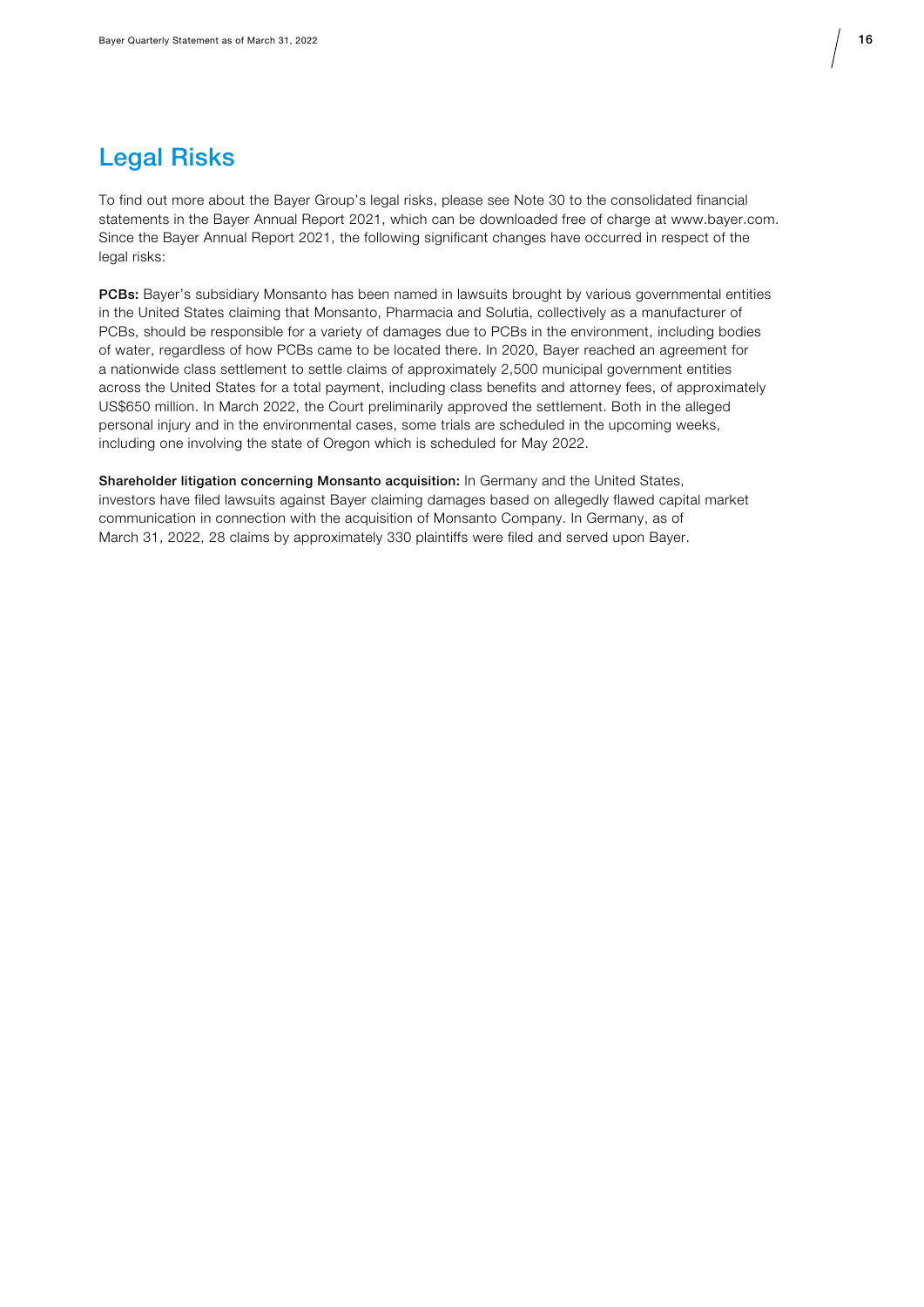

### Legal Risks

To find out more about the Bayer Group's legal risks, please see Note 30 to the consolidated financial statements in the Bayer Annual Report 2021, which can be downloaded free of charge at www.bayer.com. Since the Bayer Annual Report 2021, the following significant changes have occurred in respect of the legal risks:

PCBs: Bayer's subsidiary Monsanto has been named in lawsuits brought by various governmental entities in the United States claiming that Monsanto, Pharmacia and Solutia, collectively as a manufacturer of PCBs, should be responsible for a variety of damages due to PCBs in the environment, including bodies of water, regardless of how PCBs came to be located there. In 2020, Bayer reached an agreement for a nationwide class settlement to settle claims of approximately 2,500 municipal government entities across the United States for a total payment, including class benefits and attorney fees, of approximately US\$650 million. In March 2022, the Court preliminarily approved the settlement. Both in the alleged personal injury and in the environmental cases, some trials are scheduled in the upcoming weeks, including one involving the state of Oregon which is scheduled for May 2022.

Shareholder litigation concerning Monsanto acquisition: In Germany and the United States, investors have filed lawsuits against Bayer claiming damages based on allegedly flawed capital market communication in connection with the acquisition of Monsanto Company. In Germany, as of March 31, 2022, 28 claims by approximately 330 plaintiffs were filed and served upon Bayer.